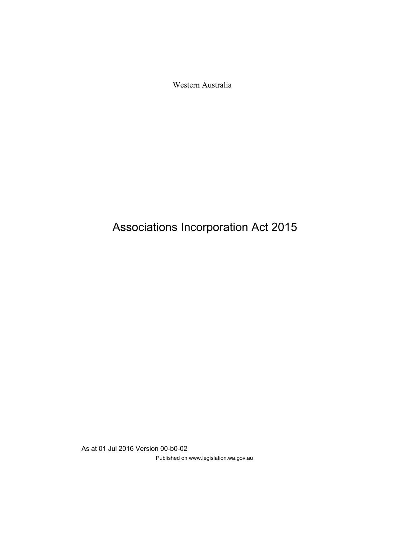Western Australia

# Associations Incorporation Act 2015

As at 01 Jul 2016 Version 00-b0-02 Published on www.legislation.wa.gov.au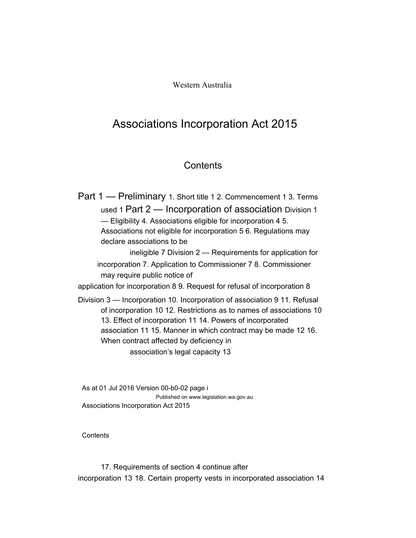Western Australia

## Associations Incorporation Act 2015

## **Contents**

Part 1 — Preliminary 1. Short title 1 2. Commencement 1 3. Terms used 1 Part 2 — Incorporation of association Division 1 — Eligibility 4. Associations eligible for incorporation 4 5. Associations not eligible for incorporation 5 6. Regulations may declare associations to be ineligible 7 Division 2 — Requirements for application for incorporation 7. Application to Commissioner 7 8. Commissioner may require public notice of application for incorporation 8 9. Request for refusal of incorporation 8 Division 3 — Incorporation 10. Incorporation of association 9 11. Refusal of incorporation 10 12. Restrictions as to names of associations 10 13. Effect of incorporation 11 14. Powers of incorporated association 11 15. Manner in which contract may be made 12 16. When contract affected by deficiency in association's legal capacity 13

As at 01 Jul 2016 Version 00-b0-02 page i Published on www.legislation.wa.gov.au Associations Incorporation Act 2015

**Contents** 

17. Requirements of section 4 continue after incorporation 13 18. Certain property vests in incorporated association 14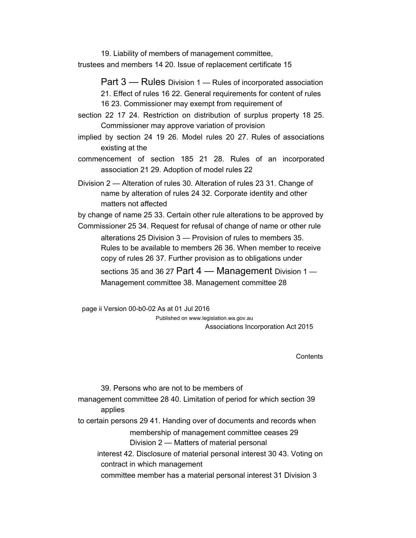19. Liability of members of management committee, trustees and members 14 20. Issue of replacement certificate 15

> Part 3 – Rules Division 1 – Rules of incorporated association 21. Effect of rules 16 22. General requirements for content of rules 16 23. Commissioner may exempt from requirement of

- section 22 17 24. Restriction on distribution of surplus property 18 25. Commissioner may approve variation of provision
- implied by section 24 19 26. Model rules 20 27. Rules of associations existing at the
- commencement of section 185 21 28. Rules of an incorporated association 21 29. Adoption of model rules 22

Division 2 — Alteration of rules 30. Alteration of rules 23 31. Change of name by alteration of rules 24 32. Corporate identity and other matters not affected

by change of name 25 33. Certain other rule alterations to be approved by

Commissioner 25 34. Request for refusal of change of name or other rule alterations 25 Division 3 — Provision of rules to members 35. Rules to be available to members 26 36. When member to receive copy of rules 26 37. Further provision as to obligations under

sections 35 and 36 27 Part 4 — Management Division 1 — Management committee 38. Management committee 28

page ii Version 00-b0-02 As at 01 Jul 2016 Published on www.legislation.wa.gov.au Associations Incorporation Act 2015

**Contents** 

39. Persons who are not to be members of management committee 28 40. Limitation of period for which section 39 applies to certain persons 29 41. Handing over of documents and records when membership of management committee ceases 29 Division 2 — Matters of material personal interest 42. Disclosure of material personal interest 30 43. Voting on contract in which management committee member has a material personal interest 31 Division 3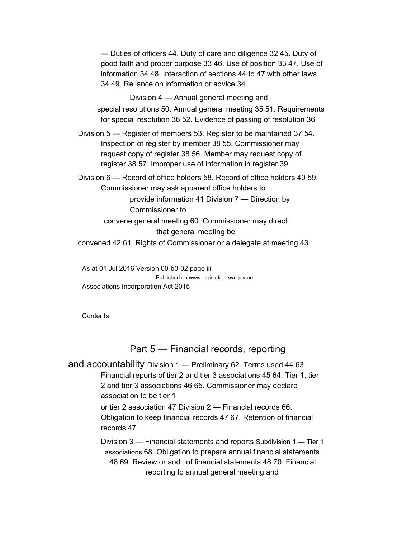— Duties of officers 44. Duty of care and diligence 32 45. Duty of good faith and proper purpose 33 46. Use of position 33 47. Use of information 34 48. Interaction of sections 44 to 47 with other laws 34 49. Reliance on information or advice 34

Division 4 — Annual general meeting and special resolutions 50. Annual general meeting 35 51. Requirements for special resolution 36 52. Evidence of passing of resolution 36

Division 5 — Register of members 53. Register to be maintained 37 54. Inspection of register by member 38 55. Commissioner may request copy of register 38 56. Member may request copy of register 38 57. Improper use of information in register 39

Division 6 — Record of office holders 58. Record of office holders 40 59. Commissioner may ask apparent office holders to provide information 41 Division 7 — Direction by Commissioner to

convene general meeting 60. Commissioner may direct that general meeting be

convened 42 61. Rights of Commissioner or a delegate at meeting 43

As at 01 Jul 2016 Version 00-b0-02 page iii Published on www.legislation.wa.gov.au Associations Incorporation Act 2015

**Contents** 

### Part 5 — Financial records, reporting

and accountability Division 1 — Preliminary 62. Terms used 44 63. Financial reports of tier 2 and tier 3 associations 45 64. Tier 1, tier 2 and tier 3 associations 46 65. Commissioner may declare association to be tier 1

> or tier 2 association 47 Division 2 — Financial records 66. Obligation to keep financial records 47 67. Retention of financial records 47

Division 3 — Financial statements and reports Subdivision 1 — Tier 1 associations 68. Obligation to prepare annual financial statements 48 69. Review or audit of financial statements 48 70. Financial reporting to annual general meeting and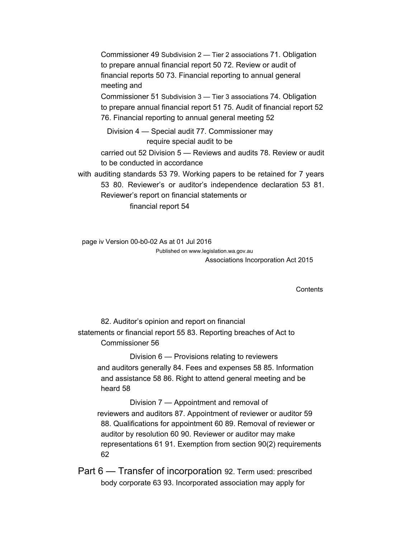Commissioner 49 Subdivision 2 — Tier 2 associations 71. Obligation to prepare annual financial report 50 72. Review or audit of financial reports 50 73. Financial reporting to annual general meeting and

Commissioner 51 Subdivision 3 — Tier 3 associations 74. Obligation to prepare annual financial report 51 75. Audit of financial report 52 76. Financial reporting to annual general meeting 52

Division 4 — Special audit 77. Commissioner may require special audit to be

carried out 52 Division 5 — Reviews and audits 78. Review or audit to be conducted in accordance

with auditing standards 53 79. Working papers to be retained for 7 years 53 80. Reviewer's or auditor's independence declaration 53 81. Reviewer's report on financial statements or

financial report 54

page iv Version 00-b0-02 As at 01 Jul 2016 Published on www.legislation.wa.gov.au Associations Incorporation Act 2015

**Contents** 

82. Auditor's opinion and report on financial statements or financial report 55 83. Reporting breaches of Act to Commissioner 56

Division 6 — Provisions relating to reviewers and auditors generally 84. Fees and expenses 58 85. Information and assistance 58 86. Right to attend general meeting and be heard 58

Division 7 — Appointment and removal of reviewers and auditors 87. Appointment of reviewer or auditor 59 88. Qualifications for appointment 60 89. Removal of reviewer or auditor by resolution 60 90. Reviewer or auditor may make representations 61 91. Exemption from section 90(2) requirements 62

Part 6 — Transfer of incorporation 92. Term used: prescribed body corporate 63 93. Incorporated association may apply for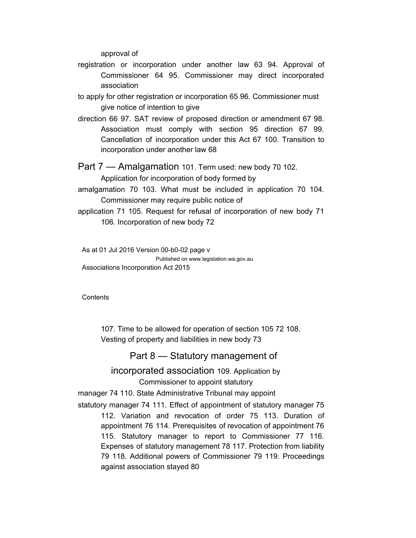approval of

- registration or incorporation under another law 63 94. Approval of Commissioner 64 95. Commissioner may direct incorporated association
- to apply for other registration or incorporation 65 96. Commissioner must give notice of intention to give
- direction 66 97. SAT review of proposed direction or amendment 67 98. Association must comply with section 95 direction 67 99. Cancellation of incorporation under this Act 67 100. Transition to incorporation under another law 68
- Part 7 Amalgamation 101. Term used: new body 70 102.

Application for incorporation of body formed by

- amalgamation 70 103. What must be included in application 70 104. Commissioner may require public notice of
- application 71 105. Request for refusal of incorporation of new body 71 106. Incorporation of new body 72

As at 01 Jul 2016 Version 00-b0-02 page v Published on www.legislation.wa.gov.au Associations Incorporation Act 2015

**Contents** 

107. Time to be allowed for operation of section 105 72 108. Vesting of property and liabilities in new body 73

#### Part 8 — Statutory management of

incorporated association 109. Application by Commissioner to appoint statutory

manager 74 110. State Administrative Tribunal may appoint

statutory manager 74 111. Effect of appointment of statutory manager 75 112. Variation and revocation of order 75 113. Duration of appointment 76 114. Prerequisites of revocation of appointment 76 115. Statutory manager to report to Commissioner 77 116. Expenses of statutory management 78 117. Protection from liability 79 118. Additional powers of Commissioner 79 119. Proceedings against association stayed 80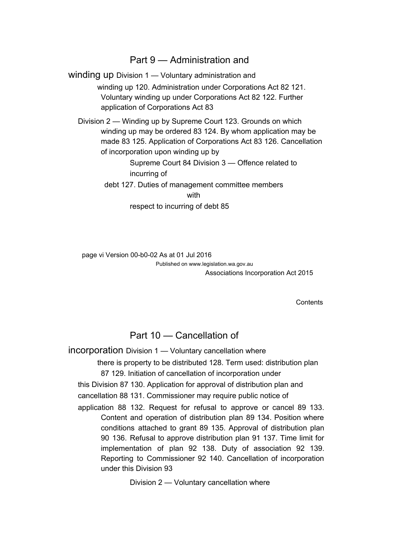### Part 9 — Administration and

winding up Division 1 — Voluntary administration and winding up 120. Administration under Corporations Act 82 121. Voluntary winding up under Corporations Act 82 122. Further application of Corporations Act 83 Division 2 — Winding up by Supreme Court 123. Grounds on which winding up may be ordered 83 124. By whom application may be made 83 125. Application of Corporations Act 83 126. Cancellation of incorporation upon winding up by Supreme Court 84 Division 3 — Offence related to incurring of

debt 127. Duties of management committee members with

respect to incurring of debt 85

page vi Version 00-b0-02 As at 01 Jul 2016 Published on www.legislation.wa.gov.au Associations Incorporation Act 2015

**Contents** 

## Part 10 — Cancellation of

incorporation Division 1 — Voluntary cancellation where

there is property to be distributed 128. Term used: distribution plan 87 129. Initiation of cancellation of incorporation under

this Division 87 130. Application for approval of distribution plan and

cancellation 88 131. Commissioner may require public notice of

application 88 132. Request for refusal to approve or cancel 89 133. Content and operation of distribution plan 89 134. Position where conditions attached to grant 89 135. Approval of distribution plan 90 136. Refusal to approve distribution plan 91 137. Time limit for implementation of plan 92 138. Duty of association 92 139. Reporting to Commissioner 92 140. Cancellation of incorporation under this Division 93

Division 2 — Voluntary cancellation where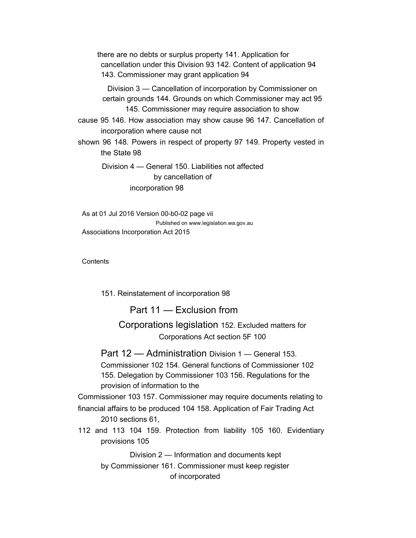there are no debts or surplus property 141. Application for cancellation under this Division 93 142. Content of application 94 143. Commissioner may grant application 94

Division 3 — Cancellation of incorporation by Commissioner on certain grounds 144. Grounds on which Commissioner may act 95 145. Commissioner may require association to show

cause 95 146. How association may show cause 96 147. Cancellation of incorporation where cause not

shown 96 148. Powers in respect of property 97 149. Property vested in the State 98

Division 4 — General 150. Liabilities not affected by cancellation of incorporation 98

As at 01 Jul 2016 Version 00-b0-02 page vii Published on www.legislation.wa.gov.au Associations Incorporation Act 2015

**Contents** 

151. Reinstatement of incorporation 98

Part 11 — Exclusion from

Corporations legislation 152. Excluded matters for Corporations Act section 5F 100

Part 12 — Administration Division 1 — General 153. Commissioner 102 154. General functions of Commissioner 102 155. Delegation by Commissioner 103 156. Regulations for the provision of information to the

Commissioner 103 157. Commissioner may require documents relating to financial affairs to be produced 104 158. Application of Fair Trading Act 2010 sections 61,

112 and 113 104 159. Protection from liability 105 160. Evidentiary provisions 105

Division 2 — Information and documents kept by Commissioner 161. Commissioner must keep register

of incorporated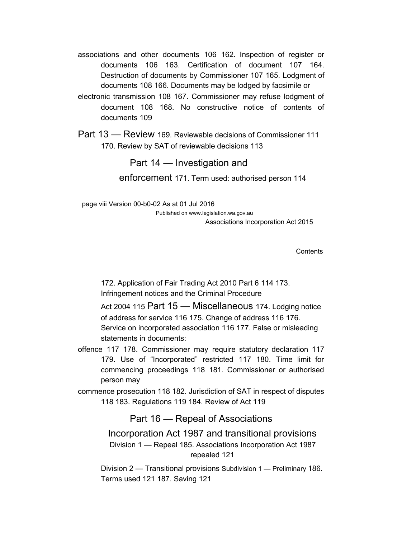- associations and other documents 106 162. Inspection of register or documents 106 163. Certification of document 107 164. Destruction of documents by Commissioner 107 165. Lodgment of documents 108 166. Documents may be lodged by facsimile or
- electronic transmission 108 167. Commissioner may refuse lodgment of document 108 168. No constructive notice of contents of documents 109

Part 13 — Review 169. Reviewable decisions of Commissioner 111 170. Review by SAT of reviewable decisions 113

#### Part 14 — Investigation and

enforcement 171. Term used: authorised person 114

page viii Version 00-b0-02 As at 01 Jul 2016 Published on www.legislation.wa.gov.au Associations Incorporation Act 2015

**Contents** 

172. Application of Fair Trading Act 2010 Part 6 114 173. Infringement notices and the Criminal Procedure

Act 2004 115 Part 15 - Miscellaneous 174. Lodging notice of address for service 116 175. Change of address 116 176. Service on incorporated association 116 177. False or misleading statements in documents:

offence 117 178. Commissioner may require statutory declaration 117 179. Use of "Incorporated" restricted 117 180. Time limit for commencing proceedings 118 181. Commissioner or authorised person may

commence prosecution 118 182. Jurisdiction of SAT in respect of disputes 118 183. Regulations 119 184. Review of Act 119

Part 16 — Repeal of Associations

Incorporation Act 1987 and transitional provisions Division 1 — Repeal 185. Associations Incorporation Act 1987 repealed 121

Division 2 — Transitional provisions Subdivision 1 — Preliminary 186. Terms used 121 187. Saving 121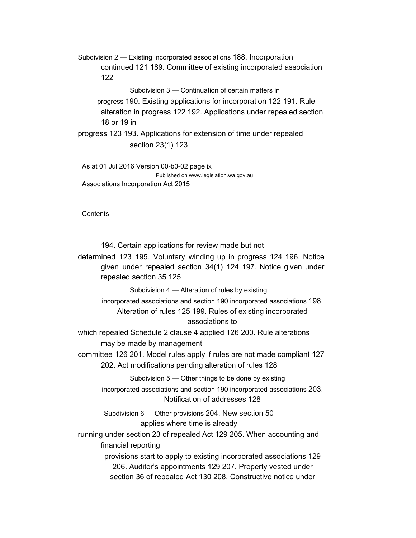Subdivision 2 — Existing incorporated associations 188. Incorporation continued 121 189. Committee of existing incorporated association 122

Subdivision 3 — Continuation of certain matters in progress 190. Existing applications for incorporation 122 191. Rule alteration in progress 122 192. Applications under repealed section 18 or 19 in

progress 123 193. Applications for extension of time under repealed section 23(1) 123

As at 01 Jul 2016 Version 00-b0-02 page ix Published on www.legislation.wa.gov.au Associations Incorporation Act 2015

**Contents** 

194. Certain applications for review made but not

determined 123 195. Voluntary winding up in progress 124 196. Notice given under repealed section 34(1) 124 197. Notice given under repealed section 35 125

Subdivision 4 — Alteration of rules by existing

incorporated associations and section 190 incorporated associations 198. Alteration of rules 125 199. Rules of existing incorporated associations to

which repealed Schedule 2 clause 4 applied 126 200. Rule alterations may be made by management

committee 126 201. Model rules apply if rules are not made compliant 127 202. Act modifications pending alteration of rules 128

Subdivision 5 — Other things to be done by existing

incorporated associations and section 190 incorporated associations 203. Notification of addresses 128

Subdivision 6 — Other provisions 204. New section 50 applies where time is already

running under section 23 of repealed Act 129 205. When accounting and financial reporting

> provisions start to apply to existing incorporated associations 129 206. Auditor's appointments 129 207. Property vested under section 36 of repealed Act 130 208. Constructive notice under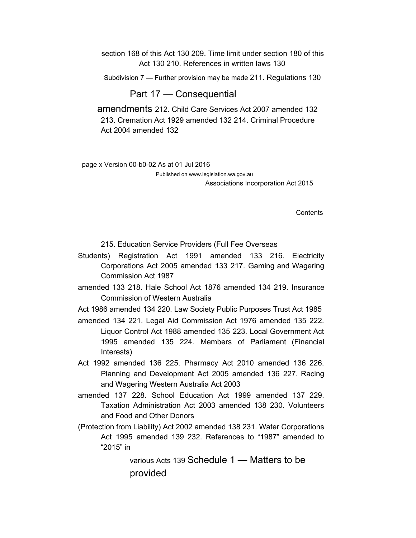section 168 of this Act 130 209. Time limit under section 180 of this Act 130 210. References in written laws 130

Subdivision 7 — Further provision may be made 211. Regulations 130

#### Part 17 — Consequential

amendments 212. Child Care Services Act 2007 amended 132 213. Cremation Act 1929 amended 132 214. Criminal Procedure Act 2004 amended 132

page x Version 00-b0-02 As at 01 Jul 2016

Published on www.legislation.wa.gov.au Associations Incorporation Act 2015

**Contents** 

215. Education Service Providers (Full Fee Overseas

- Students) Registration Act 1991 amended 133 216. Electricity Corporations Act 2005 amended 133 217. Gaming and Wagering Commission Act 1987
- amended 133 218. Hale School Act 1876 amended 134 219. Insurance Commission of Western Australia

Act 1986 amended 134 220. Law Society Public Purposes Trust Act 1985

- amended 134 221. Legal Aid Commission Act 1976 amended 135 222. Liquor Control Act 1988 amended 135 223. Local Government Act 1995 amended 135 224. Members of Parliament (Financial Interests)
- Act 1992 amended 136 225. Pharmacy Act 2010 amended 136 226. Planning and Development Act 2005 amended 136 227. Racing and Wagering Western Australia Act 2003
- amended 137 228. School Education Act 1999 amended 137 229. Taxation Administration Act 2003 amended 138 230. Volunteers and Food and Other Donors
- (Protection from Liability) Act 2002 amended 138 231. Water Corporations Act 1995 amended 139 232. References to "1987" amended to "2015" in

various Acts 139 Schedule 1 — Matters to be provided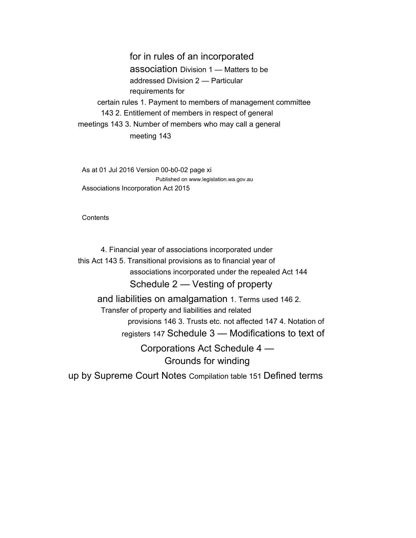for in rules of an incorporated association Division 1 — Matters to be addressed Division 2 — Particular requirements for certain rules 1. Payment to members of management committee 143 2. Entitlement of members in respect of general meetings 143 3. Number of members who may call a general meeting 143

As at 01 Jul 2016 Version 00-b0-02 page xi Published on www.legislation.wa.gov.au Associations Incorporation Act 2015

**Contents** 

4. Financial year of associations incorporated under this Act 143 5. Transitional provisions as to financial year of associations incorporated under the repealed Act 144 Schedule 2 — Vesting of property and liabilities on amalgamation 1. Terms used 146 2. Transfer of property and liabilities and related

provisions 146 3. Trusts etc. not affected 147 4. Notation of registers 147 Schedule 3 — Modifications to text of

Corporations Act Schedule 4 — Grounds for winding

up by Supreme Court Notes Compilation table 151 Defined terms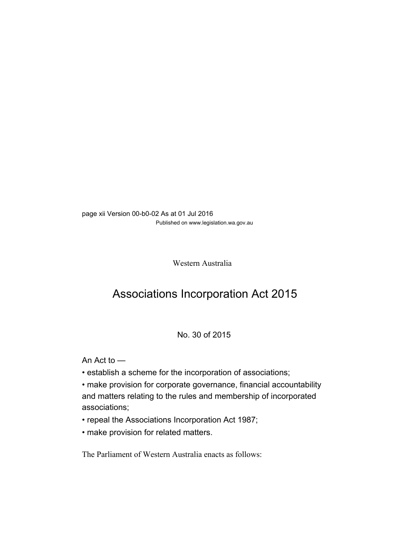page xii Version 00-b0-02 As at 01 Jul 2016 Published on www.legislation.wa.gov.au

Western Australia

## Associations Incorporation Act 2015

#### No. 30 of 2015

An Act to —

- establish a scheme for the incorporation of associations;
- make provision for corporate governance, financial accountability and matters relating to the rules and membership of incorporated associations;
- repeal the Associations Incorporation Act 1987;
- make provision for related matters.

The Parliament of Western Australia enacts as follows: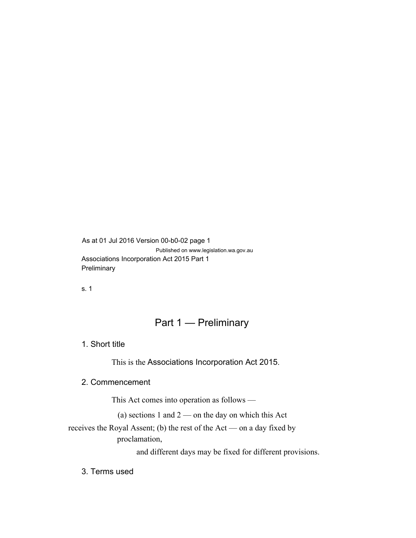As at 01 Jul 2016 Version 00-b0-02 page 1 Published on www.legislation.wa.gov.au Associations Incorporation Act 2015 Part 1 **Preliminary** 

s. 1

## Part 1 — Preliminary

1. Short title

This is the Associations Incorporation Act 2015.

#### 2. Commencement

This Act comes into operation as follows —

(a) sections 1 and  $2$  — on the day on which this Act

receives the Royal Assent; (b) the rest of the Act — on a day fixed by proclamation,

and different days may be fixed for different provisions.

3. Terms used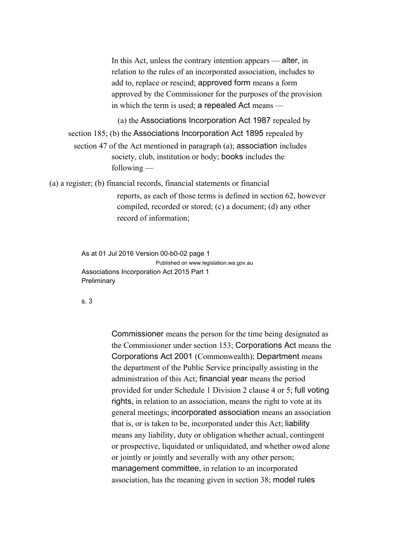In this Act, unless the contrary intention appears — alter, in relation to the rules of an incorporated association, includes to add to, replace or rescind; approved form means a form approved by the Commissioner for the purposes of the provision in which the term is used; a repealed Act means —

(a) the Associations Incorporation Act 1987 repealed by section 185; (b) the Associations Incorporation Act 1895 repealed by section 47 of the Act mentioned in paragraph (a); association includes society, club, institution or body; books includes the following —

(a) a register; (b) financial records, financial statements or financial

reports, as each of those terms is defined in section 62, however compiled, recorded or stored; (c) a document; (d) any other record of information;

As at 01 Jul 2016 Version 00-b0-02 page 1 Published on www.legislation.wa.gov.au Associations Incorporation Act 2015 Part 1 **Preliminary** 

#### s. 3

Commissioner means the person for the time being designated as the Commissioner under section 153; Corporations Act means the Corporations Act 2001 (Commonwealth); Department means the department of the Public Service principally assisting in the administration of this Act; financial year means the period provided for under Schedule 1 Division 2 clause 4 or 5; full voting rights, in relation to an association, means the right to vote at its general meetings; incorporated association means an association that is, or is taken to be, incorporated under this Act; liability means any liability, duty or obligation whether actual, contingent or prospective, liquidated or unliquidated, and whether owed alone or jointly or jointly and severally with any other person; management committee, in relation to an incorporated association, has the meaning given in section 38; model rules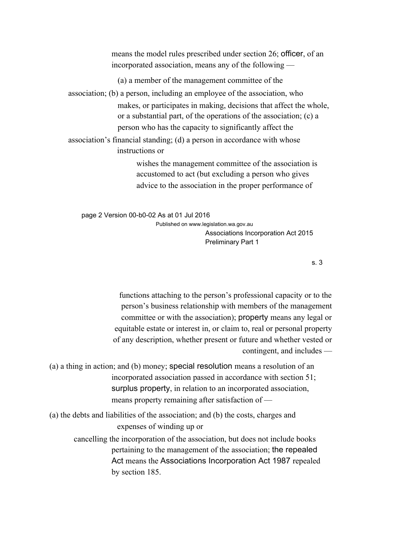means the model rules prescribed under section 26; officer, of an incorporated association, means any of the following —

(a) a member of the management committee of the

association; (b) a person, including an employee of the association, who makes, or participates in making, decisions that affect the whole, or a substantial part, of the operations of the association; (c) a person who has the capacity to significantly affect the

association's financial standing; (d) a person in accordance with whose instructions or

> wishes the management committee of the association is accustomed to act (but excluding a person who gives advice to the association in the proper performance of

page 2 Version 00-b0-02 As at 01 Jul 2016

Published on www.legislation.wa.gov.au Associations Incorporation Act 2015 Preliminary Part 1

s. 3

functions attaching to the person's professional capacity or to the person's business relationship with members of the management committee or with the association); property means any legal or equitable estate or interest in, or claim to, real or personal property of any description, whether present or future and whether vested or contingent, and includes —

- (a) a thing in action; and (b) money; special resolution means a resolution of an incorporated association passed in accordance with section 51; surplus property, in relation to an incorporated association, means property remaining after satisfaction of —
- (a) the debts and liabilities of the association; and (b) the costs, charges and expenses of winding up or cancelling the incorporation of the association, but does not include books pertaining to the management of the association; the repealed Act means the Associations Incorporation Act 1987 repealed by section 185.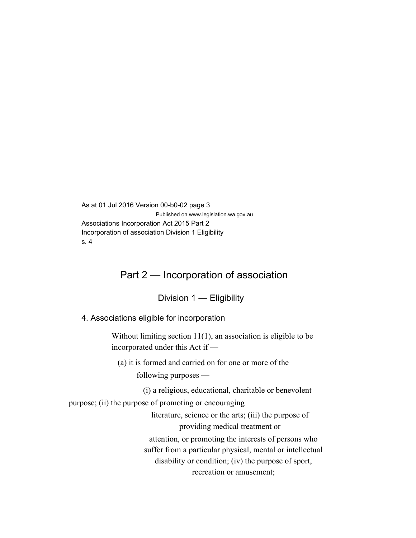As at 01 Jul 2016 Version 00-b0-02 page 3 Published on www.legislation.wa.gov.au Associations Incorporation Act 2015 Part 2 Incorporation of association Division 1 Eligibility s. 4

## Part 2 — Incorporation of association

Division 1 — Eligibility

4. Associations eligible for incorporation

Without limiting section 11(1), an association is eligible to be incorporated under this Act if —

(a) it is formed and carried on for one or more of the following purposes —

(i) a religious, educational, charitable or benevolent

purpose; (ii) the purpose of promoting or encouraging

literature, science or the arts; (iii) the purpose of providing medical treatment or attention, or promoting the interests of persons who suffer from a particular physical, mental or intellectual disability or condition; (iv) the purpose of sport, recreation or amusement;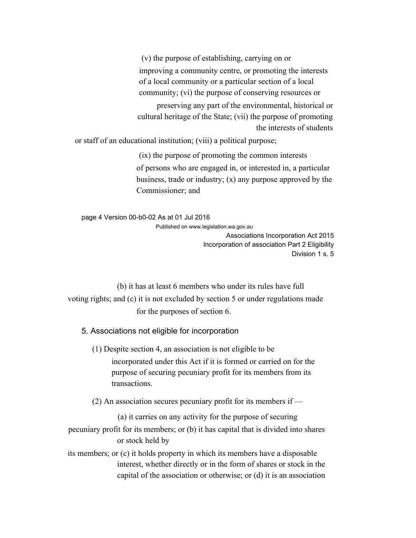(v) the purpose of establishing, carrying on or improving a community centre, or promoting the interests of a local community or a particular section of a local community; (vi) the purpose of conserving resources or

preserving any part of the environmental, historical or cultural heritage of the State; (vii) the purpose of promoting the interests of students

or staff of an educational institution; (viii) a political purpose;

(ix) the purpose of promoting the common interests of persons who are engaged in, or interested in, a particular business, trade or industry; (x) any purpose approved by the Commissioner; and

page 4 Version 00-b0-02 As at 01 Jul 2016 Published on www.legislation.wa.gov.au

Associations Incorporation Act 2015 Incorporation of association Part 2 Eligibility Division 1 s. 5

(b) it has at least 6 members who under its rules have full voting rights; and (c) it is not excluded by section 5 or under regulations made for the purposes of section 6.

5. Associations not eligible for incorporation

(1) Despite section 4, an association is not eligible to be incorporated under this Act if it is formed or carried on for the purpose of securing pecuniary profit for its members from its transactions.

(2) An association secures pecuniary profit for its members if —

(a) it carries on any activity for the purpose of securing

pecuniary profit for its members; or (b) it has capital that is divided into shares or stock held by

its members; or (c) it holds property in which its members have a disposable interest, whether directly or in the form of shares or stock in the capital of the association or otherwise; or (d) it is an association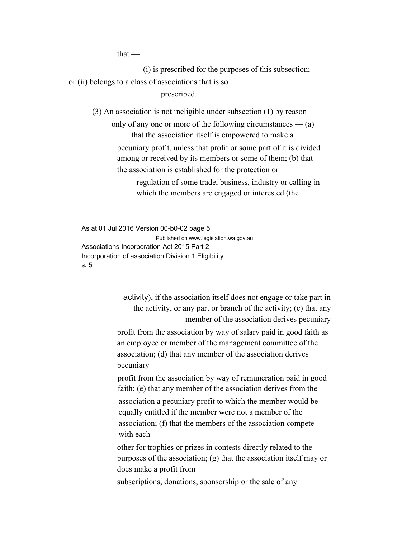$that -$ 

(i) is prescribed for the purposes of this subsection; or (ii) belongs to a class of associations that is so prescribed.

(3) An association is not ineligible under subsection (1) by reason

only of any one or more of the following circumstances  $-$  (a) that the association itself is empowered to make a pecuniary profit, unless that profit or some part of it is divided among or received by its members or some of them; (b) that the association is established for the protection or

> regulation of some trade, business, industry or calling in which the members are engaged or interested (the

As at 01 Jul 2016 Version 00-b0-02 page 5 Published on www.legislation.wa.gov.au Associations Incorporation Act 2015 Part 2 Incorporation of association Division 1 Eligibility s. 5

> activity), if the association itself does not engage or take part in the activity, or any part or branch of the activity; (c) that any member of the association derives pecuniary

profit from the association by way of salary paid in good faith as an employee or member of the management committee of the association; (d) that any member of the association derives pecuniary

profit from the association by way of remuneration paid in good faith; (e) that any member of the association derives from the

association a pecuniary profit to which the member would be equally entitled if the member were not a member of the association; (f) that the members of the association compete with each

other for trophies or prizes in contests directly related to the purposes of the association; (g) that the association itself may or does make a profit from

subscriptions, donations, sponsorship or the sale of any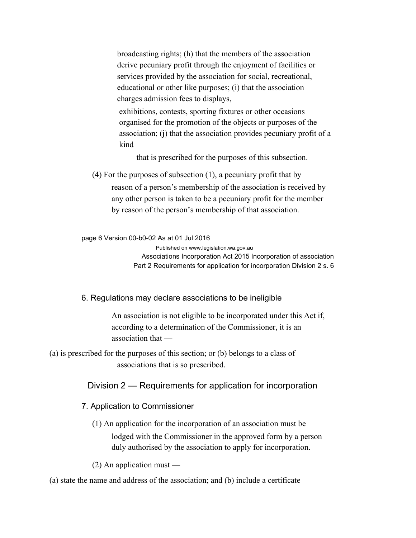broadcasting rights; (h) that the members of the association derive pecuniary profit through the enjoyment of facilities or services provided by the association for social, recreational, educational or other like purposes; (i) that the association charges admission fees to displays,

exhibitions, contests, sporting fixtures or other occasions organised for the promotion of the objects or purposes of the association; (j) that the association provides pecuniary profit of a kind

that is prescribed for the purposes of this subsection.

(4) For the purposes of subsection (1), a pecuniary profit that by reason of a person's membership of the association is received by any other person is taken to be a pecuniary profit for the member by reason of the person's membership of that association.

page 6 Version 00-b0-02 As at 01 Jul 2016

Published on www.legislation.wa.gov.au Associations Incorporation Act 2015 Incorporation of association Part 2 Requirements for application for incorporation Division 2 s. 6

6. Regulations may declare associations to be ineligible

An association is not eligible to be incorporated under this Act if, according to a determination of the Commissioner, it is an association that —

(a) is prescribed for the purposes of this section; or (b) belongs to a class of associations that is so prescribed.

#### Division 2 — Requirements for application for incorporation

7. Application to Commissioner

(1) An application for the incorporation of an association must be lodged with the Commissioner in the approved form by a person duly authorised by the association to apply for incorporation.

(2) An application must —

(a) state the name and address of the association; and (b) include a certificate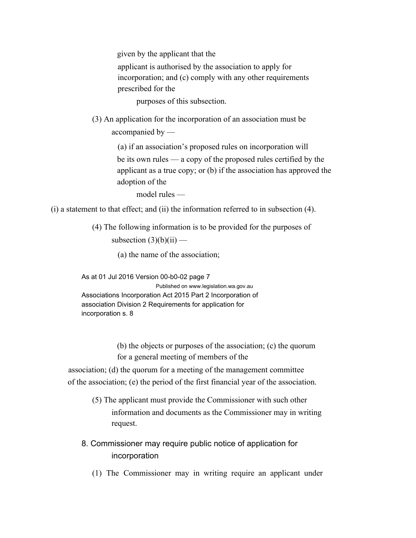given by the applicant that the

applicant is authorised by the association to apply for incorporation; and (c) comply with any other requirements prescribed for the

purposes of this subsection.

(3) An application for the incorporation of an association must be accompanied by —

> (a) if an association's proposed rules on incorporation will be its own rules — a copy of the proposed rules certified by the applicant as a true copy; or (b) if the association has approved the adoption of the

model rules —

(i) a statement to that effect; and (ii) the information referred to in subsection (4).

(4) The following information is to be provided for the purposes of subsection  $(3)(b)(ii)$  —

(a) the name of the association;

As at 01 Jul 2016 Version 00-b0-02 page 7 Published on www.legislation.wa.gov.au Associations Incorporation Act 2015 Part 2 Incorporation of association Division 2 Requirements for application for incorporation s. 8

> (b) the objects or purposes of the association; (c) the quorum for a general meeting of members of the

association; (d) the quorum for a meeting of the management committee of the association; (e) the period of the first financial year of the association.

- (5) The applicant must provide the Commissioner with such other information and documents as the Commissioner may in writing request.
- 8. Commissioner may require public notice of application for incorporation
	- (1) The Commissioner may in writing require an applicant under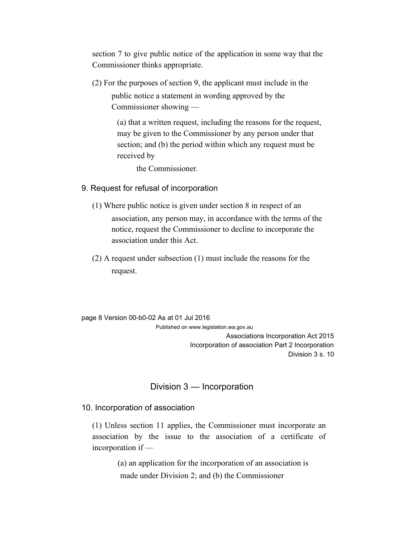section 7 to give public notice of the application in some way that the Commissioner thinks appropriate.

(2) For the purposes of section 9, the applicant must include in the public notice a statement in wording approved by the Commissioner showing —

> (a) that a written request, including the reasons for the request, may be given to the Commissioner by any person under that section; and (b) the period within which any request must be received by

the Commissioner.

#### 9. Request for refusal of incorporation

- (1) Where public notice is given under section 8 in respect of an association, any person may, in accordance with the terms of the notice, request the Commissioner to decline to incorporate the association under this Act.
- (2) A request under subsection (1) must include the reasons for the request.

page 8 Version 00-b0-02 As at 01 Jul 2016

Published on www.legislation.wa.gov.au Associations Incorporation Act 2015 Incorporation of association Part 2 Incorporation Division 3 s. 10

### Division 3 — Incorporation

#### 10. Incorporation of association

(1) Unless section 11 applies, the Commissioner must incorporate an association by the issue to the association of a certificate of incorporation if —

> (a) an application for the incorporation of an association is made under Division 2; and (b) the Commissioner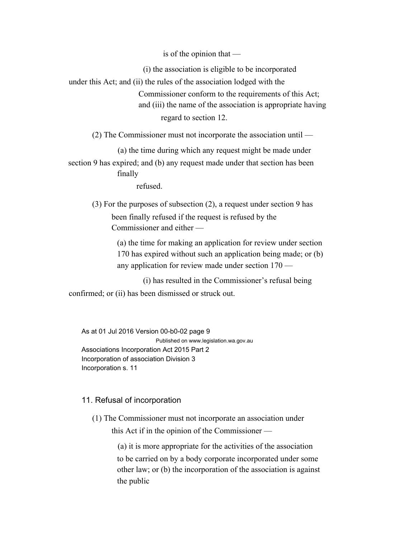is of the opinion that —

(i) the association is eligible to be incorporated under this Act; and (ii) the rules of the association lodged with the Commissioner conform to the requirements of this Act; and (iii) the name of the association is appropriate having regard to section 12.

(2) The Commissioner must not incorporate the association until —

(a) the time during which any request might be made under

section 9 has expired; and (b) any request made under that section has been finally

refused.

(3) For the purposes of subsection (2), a request under section 9 has been finally refused if the request is refused by the Commissioner and either —

> (a) the time for making an application for review under section 170 has expired without such an application being made; or (b) any application for review made under section 170 —

(i) has resulted in the Commissioner's refusal being confirmed; or (ii) has been dismissed or struck out.

As at 01 Jul 2016 Version 00-b0-02 page 9 Published on www.legislation.wa.gov.au Associations Incorporation Act 2015 Part 2 Incorporation of association Division 3 Incorporation s. 11

#### 11. Refusal of incorporation

(1) The Commissioner must not incorporate an association under this Act if in the opinion of the Commissioner —

(a) it is more appropriate for the activities of the association

to be carried on by a body corporate incorporated under some other law; or (b) the incorporation of the association is against the public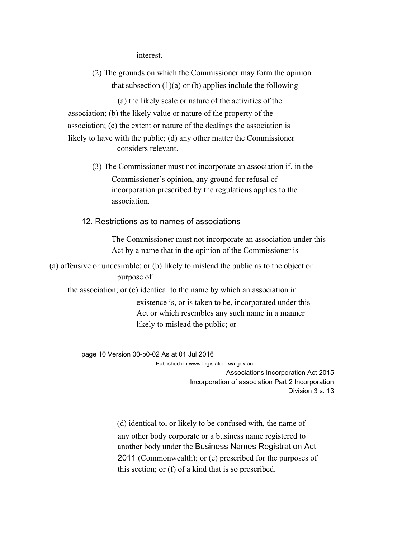interest.

(2) The grounds on which the Commissioner may form the opinion that subsection  $(1)(a)$  or (b) applies include the following —

(a) the likely scale or nature of the activities of the association; (b) the likely value or nature of the property of the association; (c) the extent or nature of the dealings the association is likely to have with the public; (d) any other matter the Commissioner considers relevant.

> (3) The Commissioner must not incorporate an association if, in the Commissioner's opinion, any ground for refusal of incorporation prescribed by the regulations applies to the association.

12. Restrictions as to names of associations

The Commissioner must not incorporate an association under this Act by a name that in the opinion of the Commissioner is —

(a) offensive or undesirable; or (b) likely to mislead the public as to the object or purpose of

the association; or (c) identical to the name by which an association in existence is, or is taken to be, incorporated under this Act or which resembles any such name in a manner likely to mislead the public; or

page 10 Version 00-b0-02 As at 01 Jul 2016

Published on www.legislation.wa.gov.au Associations Incorporation Act 2015 Incorporation of association Part 2 Incorporation Division 3 s. 13

(d) identical to, or likely to be confused with, the name of any other body corporate or a business name registered to another body under the Business Names Registration Act 2011 (Commonwealth); or (e) prescribed for the purposes of this section; or (f) of a kind that is so prescribed.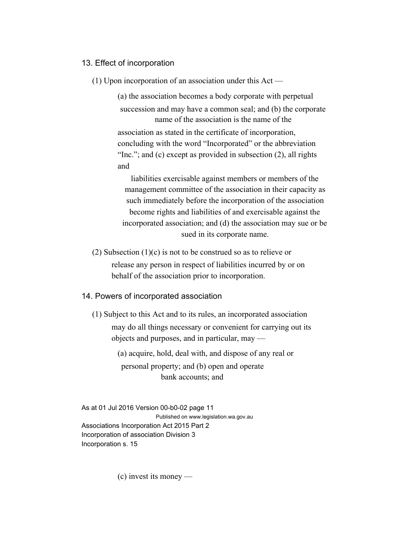#### 13. Effect of incorporation

(1) Upon incorporation of an association under this Act —

(a) the association becomes a body corporate with perpetual succession and may have a common seal; and (b) the corporate name of the association is the name of the association as stated in the certificate of incorporation, concluding with the word "Incorporated" or the abbreviation "Inc."; and (c) except as provided in subsection (2), all rights and

liabilities exercisable against members or members of the management committee of the association in their capacity as such immediately before the incorporation of the association become rights and liabilities of and exercisable against the incorporated association; and (d) the association may sue or be sued in its corporate name.

(2) Subsection (1)(c) is not to be construed so as to relieve or release any person in respect of liabilities incurred by or on behalf of the association prior to incorporation.

#### 14. Powers of incorporated association

(1) Subject to this Act and to its rules, an incorporated association may do all things necessary or convenient for carrying out its objects and purposes, and in particular, may —

> (a) acquire, hold, deal with, and dispose of any real or personal property; and (b) open and operate bank accounts; and

As at 01 Jul 2016 Version 00-b0-02 page 11 Published on www.legislation.wa.gov.au Associations Incorporation Act 2015 Part 2 Incorporation of association Division 3 Incorporation s. 15

(c) invest its money —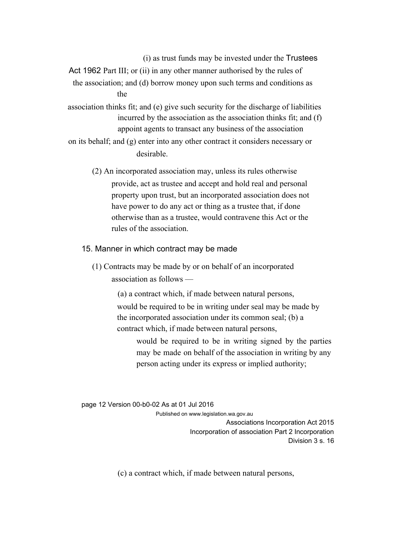(i) as trust funds may be invested under the Trustees

Act 1962 Part III; or (ii) in any other manner authorised by the rules of the association; and (d) borrow money upon such terms and conditions as the

association thinks fit; and (e) give such security for the discharge of liabilities incurred by the association as the association thinks fit; and (f) appoint agents to transact any business of the association

on its behalf; and (g) enter into any other contract it considers necessary or desirable.

(2) An incorporated association may, unless its rules otherwise provide, act as trustee and accept and hold real and personal property upon trust, but an incorporated association does not have power to do any act or thing as a trustee that, if done otherwise than as a trustee, would contravene this Act or the rules of the association.

15. Manner in which contract may be made

(1) Contracts may be made by or on behalf of an incorporated association as follows —

> (a) a contract which, if made between natural persons, would be required to be in writing under seal may be made by the incorporated association under its common seal; (b) a contract which, if made between natural persons,

would be required to be in writing signed by the parties may be made on behalf of the association in writing by any person acting under its express or implied authority;

page 12 Version 00-b0-02 As at 01 Jul 2016

Published on www.legislation.wa.gov.au Associations Incorporation Act 2015 Incorporation of association Part 2 Incorporation Division 3 s. 16

(c) a contract which, if made between natural persons,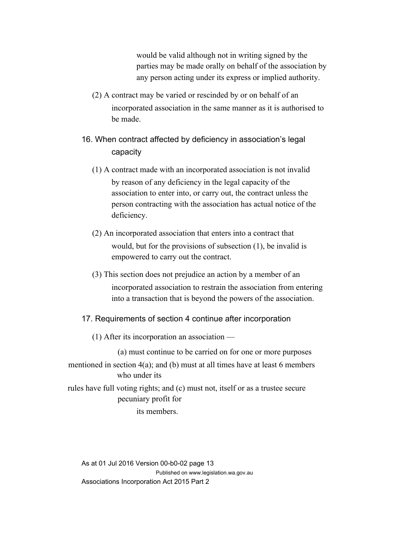would be valid although not in writing signed by the parties may be made orally on behalf of the association by any person acting under its express or implied authority.

(2) A contract may be varied or rescinded by or on behalf of an incorporated association in the same manner as it is authorised to be made.

## 16. When contract affected by deficiency in association's legal capacity

- (1) A contract made with an incorporated association is not invalid by reason of any deficiency in the legal capacity of the association to enter into, or carry out, the contract unless the person contracting with the association has actual notice of the deficiency.
- (2) An incorporated association that enters into a contract that would, but for the provisions of subsection (1), be invalid is empowered to carry out the contract.
- (3) This section does not prejudice an action by a member of an incorporated association to restrain the association from entering into a transaction that is beyond the powers of the association.

#### 17. Requirements of section 4 continue after incorporation

(1) After its incorporation an association —

(a) must continue to be carried on for one or more purposes mentioned in section 4(a); and (b) must at all times have at least 6 members who under its

rules have full voting rights; and (c) must not, itself or as a trustee secure pecuniary profit for

its members.

As at 01 Jul 2016 Version 00-b0-02 page 13 Published on www.legislation.wa.gov.au Associations Incorporation Act 2015 Part 2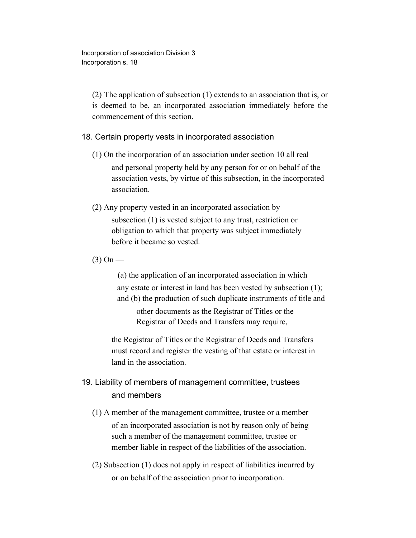Incorporation of association Division 3 Incorporation s. 18

(2) The application of subsection (1) extends to an association that is, or is deemed to be, an incorporated association immediately before the commencement of this section.

#### 18. Certain property vests in incorporated association

- (1) On the incorporation of an association under section 10 all real and personal property held by any person for or on behalf of the association vests, by virtue of this subsection, in the incorporated association.
- (2) Any property vested in an incorporated association by subsection (1) is vested subject to any trust, restriction or obligation to which that property was subject immediately before it became so vested.
- $(3)$  On —

(a) the application of an incorporated association in which any estate or interest in land has been vested by subsection (1); and (b) the production of such duplicate instruments of title and

other documents as the Registrar of Titles or the Registrar of Deeds and Transfers may require,

the Registrar of Titles or the Registrar of Deeds and Transfers must record and register the vesting of that estate or interest in land in the association.

### 19. Liability of members of management committee, trustees and members

- (1) A member of the management committee, trustee or a member of an incorporated association is not by reason only of being such a member of the management committee, trustee or member liable in respect of the liabilities of the association.
- (2) Subsection (1) does not apply in respect of liabilities incurred by or on behalf of the association prior to incorporation.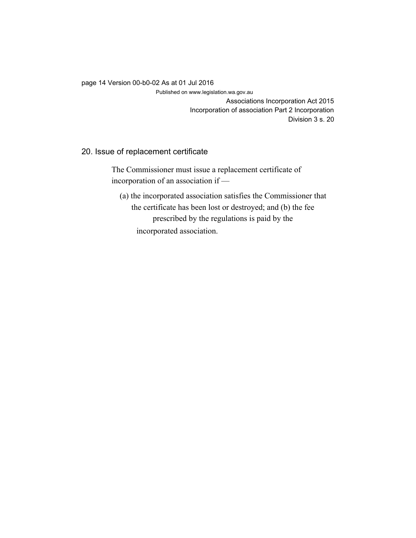#### page 14 Version 00-b0-02 As at 01 Jul 2016

Published on www.legislation.wa.gov.au

Associations Incorporation Act 2015 Incorporation of association Part 2 Incorporation Division 3 s. 20

#### 20. Issue of replacement certificate

The Commissioner must issue a replacement certificate of incorporation of an association if —

(a) the incorporated association satisfies the Commissioner that the certificate has been lost or destroyed; and (b) the fee prescribed by the regulations is paid by the incorporated association.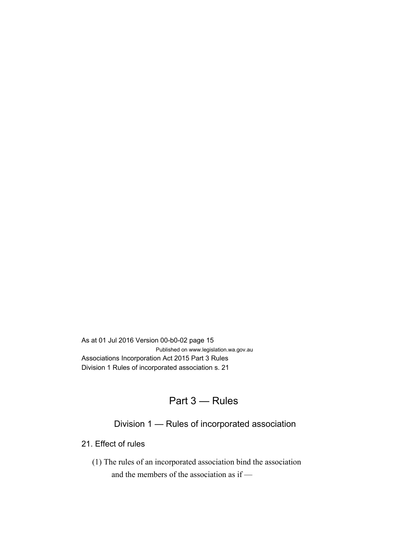As at 01 Jul 2016 Version 00-b0-02 page 15 Published on www.legislation.wa.gov.au Associations Incorporation Act 2015 Part 3 Rules Division 1 Rules of incorporated association s. 21

## Part 3 — Rules

## Division 1 — Rules of incorporated association

21. Effect of rules

(1) The rules of an incorporated association bind the association and the members of the association as if —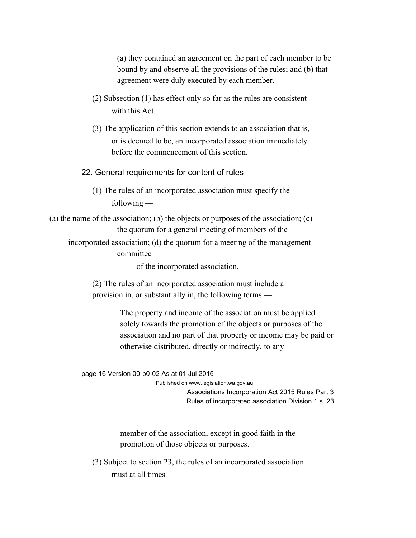(a) they contained an agreement on the part of each member to be bound by and observe all the provisions of the rules; and (b) that agreement were duly executed by each member.

- (2) Subsection (1) has effect only so far as the rules are consistent with this Act.
- (3) The application of this section extends to an association that is, or is deemed to be, an incorporated association immediately before the commencement of this section.

22. General requirements for content of rules

- (1) The rules of an incorporated association must specify the following —
- (a) the name of the association; (b) the objects or purposes of the association; (c) the quorum for a general meeting of members of the
	- incorporated association; (d) the quorum for a meeting of the management committee

of the incorporated association.

(2) The rules of an incorporated association must include a provision in, or substantially in, the following terms —

> The property and income of the association must be applied solely towards the promotion of the objects or purposes of the association and no part of that property or income may be paid or otherwise distributed, directly or indirectly, to any

page 16 Version 00-b0-02 As at 01 Jul 2016

Published on www.legislation.wa.gov.au

Associations Incorporation Act 2015 Rules Part 3 Rules of incorporated association Division 1 s. 23

member of the association, except in good faith in the promotion of those objects or purposes.

(3) Subject to section 23, the rules of an incorporated association must at all times —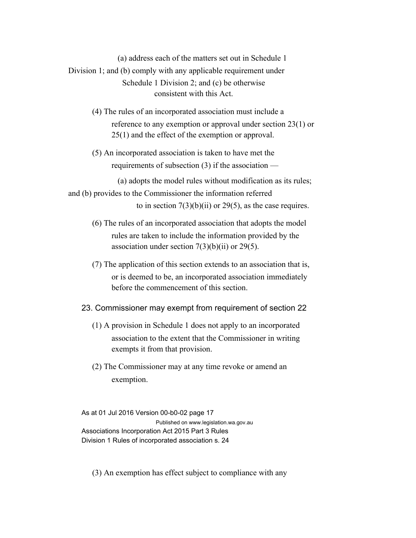(a) address each of the matters set out in Schedule 1 Division 1; and (b) comply with any applicable requirement under Schedule 1 Division 2; and (c) be otherwise consistent with this Act.

- (4) The rules of an incorporated association must include a reference to any exemption or approval under section 23(1) or 25(1) and the effect of the exemption or approval.
- (5) An incorporated association is taken to have met the requirements of subsection (3) if the association —

(a) adopts the model rules without modification as its rules;

and (b) provides to the Commissioner the information referred to in section  $7(3)(b)(ii)$  or 29(5), as the case requires.

- (6) The rules of an incorporated association that adopts the model rules are taken to include the information provided by the association under section  $7(3)(b)(ii)$  or  $29(5)$ .
- (7) The application of this section extends to an association that is, or is deemed to be, an incorporated association immediately before the commencement of this section.

#### 23. Commissioner may exempt from requirement of section 22

- (1) A provision in Schedule 1 does not apply to an incorporated association to the extent that the Commissioner in writing exempts it from that provision.
- (2) The Commissioner may at any time revoke or amend an exemption.

As at 01 Jul 2016 Version 00-b0-02 page 17 Published on www.legislation.wa.gov.au Associations Incorporation Act 2015 Part 3 Rules Division 1 Rules of incorporated association s. 24

(3) An exemption has effect subject to compliance with any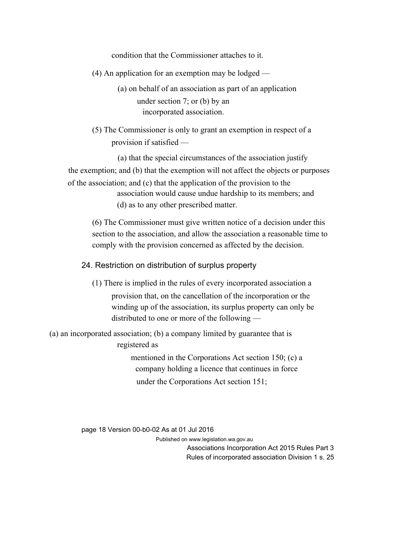condition that the Commissioner attaches to it.

- (4) An application for an exemption may be lodged
	- (a) on behalf of an association as part of an application under section 7; or (b) by an incorporated association.
- (5) The Commissioner is only to grant an exemption in respect of a provision if satisfied —

(a) that the special circumstances of the association justify the exemption; and (b) that the exemption will not affect the objects or purposes of the association; and (c) that the application of the provision to the association would cause undue hardship to its members; and

(d) as to any other prescribed matter.

(6) The Commissioner must give written notice of a decision under this section to the association, and allow the association a reasonable time to comply with the provision concerned as affected by the decision.

#### 24. Restriction on distribution of surplus property

(1) There is implied in the rules of every incorporated association a provision that, on the cancellation of the incorporation or the winding up of the association, its surplus property can only be distributed to one or more of the following —

(a) an incorporated association; (b) a company limited by guarantee that is

registered as

mentioned in the Corporations Act section 150; (c) a company holding a licence that continues in force under the Corporations Act section 151;

page 18 Version 00-b0-02 As at 01 Jul 2016

Published on www.legislation.wa.gov.au

Associations Incorporation Act 2015 Rules Part 3 Rules of incorporated association Division 1 s. 25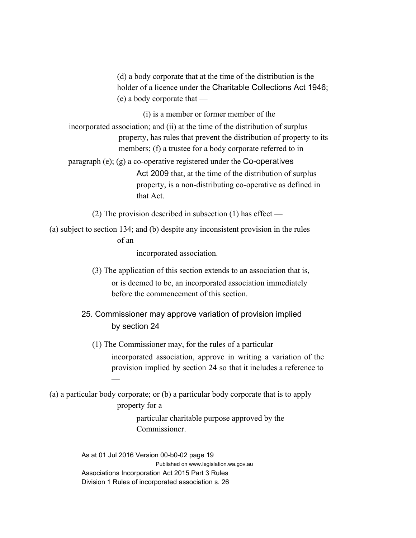(d) a body corporate that at the time of the distribution is the holder of a licence under the Charitable Collections Act 1946; (e) a body corporate that —

(i) is a member or former member of the

incorporated association; and (ii) at the time of the distribution of surplus property, has rules that prevent the distribution of property to its members; (f) a trustee for a body corporate referred to in

paragraph (e); (g) a co-operative registered under the Co-operatives Act 2009 that, at the time of the distribution of surplus property, is a non-distributing co-operative as defined in that Act.

(2) The provision described in subsection (1) has effect —

(a) subject to section 134; and (b) despite any inconsistent provision in the rules of an

incorporated association.

- (3) The application of this section extends to an association that is, or is deemed to be, an incorporated association immediately before the commencement of this section.
- 25. Commissioner may approve variation of provision implied by section 24
	- (1) The Commissioner may, for the rules of a particular

incorporated association, approve in writing a variation of the provision implied by section 24 so that it includes a reference to

(a) a particular body corporate; or (b) a particular body corporate that is to apply property for a

—

particular charitable purpose approved by the **Commissioner** 

As at 01 Jul 2016 Version 00-b0-02 page 19 Published on www.legislation.wa.gov.au Associations Incorporation Act 2015 Part 3 Rules Division 1 Rules of incorporated association s. 26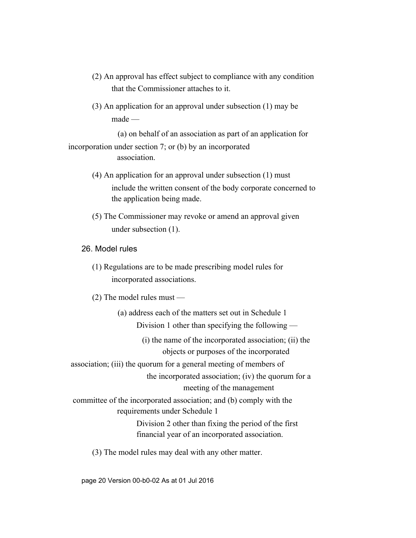- (2) An approval has effect subject to compliance with any condition that the Commissioner attaches to it.
- (3) An application for an approval under subsection (1) may be made —

(a) on behalf of an association as part of an application for incorporation under section 7; or (b) by an incorporated association.

- (4) An application for an approval under subsection (1) must include the written consent of the body corporate concerned to the application being made.
- (5) The Commissioner may revoke or amend an approval given under subsection (1).
- 26. Model rules
	- (1) Regulations are to be made prescribing model rules for incorporated associations.
	- (2) The model rules must —

(a) address each of the matters set out in Schedule 1

Division 1 other than specifying the following —

(i) the name of the incorporated association; (ii) the objects or purposes of the incorporated

association; (iii) the quorum for a general meeting of members of

the incorporated association; (iv) the quorum for a meeting of the management

committee of the incorporated association; and (b) comply with the requirements under Schedule 1

> Division 2 other than fixing the period of the first financial year of an incorporated association.

(3) The model rules may deal with any other matter.

page 20 Version 00-b0-02 As at 01 Jul 2016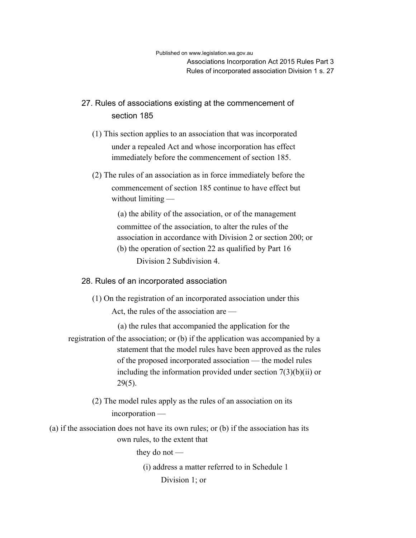## 27. Rules of associations existing at the commencement of section 185

- (1) This section applies to an association that was incorporated under a repealed Act and whose incorporation has effect immediately before the commencement of section 185.
- (2) The rules of an association as in force immediately before the commencement of section 185 continue to have effect but without limiting —

(a) the ability of the association, or of the management committee of the association, to alter the rules of the association in accordance with Division 2 or section 200; or (b) the operation of section 22 as qualified by Part 16 Division 2 Subdivision 4.

#### 28. Rules of an incorporated association

(1) On the registration of an incorporated association under this Act, the rules of the association are —

(a) the rules that accompanied the application for the registration of the association; or (b) if the application was accompanied by a statement that the model rules have been approved as the rules of the proposed incorporated association — the model rules including the information provided under section  $7(3)(b)(ii)$  or 29(5).

- (2) The model rules apply as the rules of an association on its incorporation —
- (a) if the association does not have its own rules; or (b) if the association has its own rules, to the extent that

they do not —

(i) address a matter referred to in Schedule 1 Division 1; or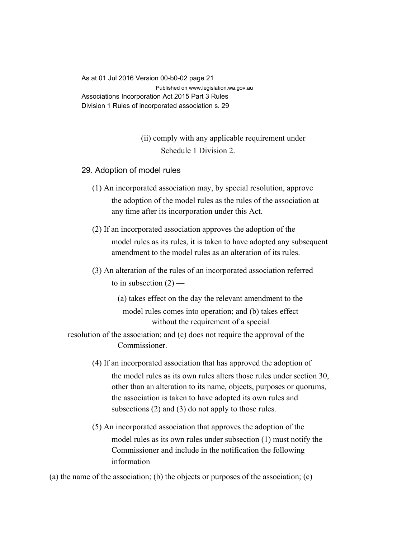As at 01 Jul 2016 Version 00-b0-02 page 21 Published on www.legislation.wa.gov.au Associations Incorporation Act 2015 Part 3 Rules Division 1 Rules of incorporated association s. 29

# (ii) comply with any applicable requirement under Schedule 1 Division 2.

- 29. Adoption of model rules
	- (1) An incorporated association may, by special resolution, approve the adoption of the model rules as the rules of the association at any time after its incorporation under this Act.
	- (2) If an incorporated association approves the adoption of the model rules as its rules, it is taken to have adopted any subsequent amendment to the model rules as an alteration of its rules.
	- (3) An alteration of the rules of an incorporated association referred to in subsection  $(2)$  —
		- (a) takes effect on the day the relevant amendment to the model rules comes into operation; and (b) takes effect without the requirement of a special

resolution of the association; and (c) does not require the approval of the Commissioner.

- (4) If an incorporated association that has approved the adoption of the model rules as its own rules alters those rules under section 30, other than an alteration to its name, objects, purposes or quorums, the association is taken to have adopted its own rules and subsections (2) and (3) do not apply to those rules.
- (5) An incorporated association that approves the adoption of the model rules as its own rules under subsection (1) must notify the Commissioner and include in the notification the following information —

(a) the name of the association; (b) the objects or purposes of the association; (c)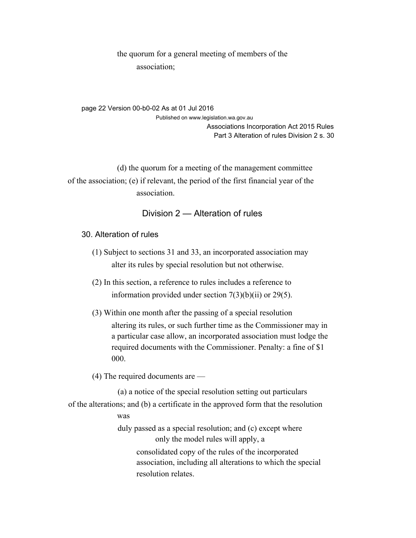the quorum for a general meeting of members of the association;

page 22 Version 00-b0-02 As at 01 Jul 2016 Published on www.legislation.wa.gov.au Associations Incorporation Act 2015 Rules Part 3 Alteration of rules Division 2 s. 30

(d) the quorum for a meeting of the management committee of the association; (e) if relevant, the period of the first financial year of the association.

# Division 2 — Alteration of rules

#### 30. Alteration of rules

- (1) Subject to sections 31 and 33, an incorporated association may alter its rules by special resolution but not otherwise.
- (2) In this section, a reference to rules includes a reference to information provided under section 7(3)(b)(ii) or 29(5).
- (3) Within one month after the passing of a special resolution altering its rules, or such further time as the Commissioner may in a particular case allow, an incorporated association must lodge the required documents with the Commissioner. Penalty: a fine of \$1 000.

(4) The required documents are —

(a) a notice of the special resolution setting out particulars of the alterations; and (b) a certificate in the approved form that the resolution was duly passed as a special resolution; and (c) except where only the model rules will apply, a consolidated copy of the rules of the incorporated association, including all alterations to which the special resolution relates.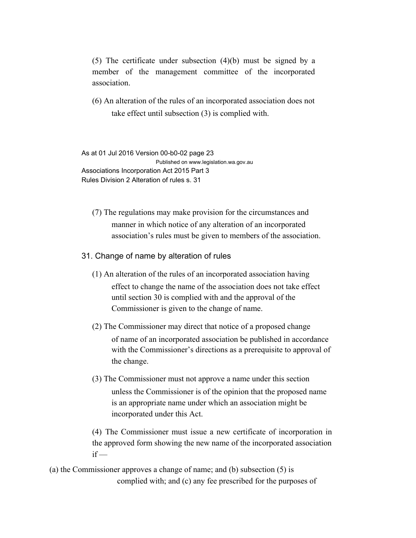(5) The certificate under subsection (4)(b) must be signed by a member of the management committee of the incorporated association.

(6) An alteration of the rules of an incorporated association does not take effect until subsection (3) is complied with.

As at 01 Jul 2016 Version 00-b0-02 page 23 Published on www.legislation.wa.gov.au Associations Incorporation Act 2015 Part 3 Rules Division 2 Alteration of rules s. 31

(7) The regulations may make provision for the circumstances and manner in which notice of any alteration of an incorporated association's rules must be given to members of the association.

31. Change of name by alteration of rules

- (1) An alteration of the rules of an incorporated association having effect to change the name of the association does not take effect until section 30 is complied with and the approval of the Commissioner is given to the change of name.
- (2) The Commissioner may direct that notice of a proposed change of name of an incorporated association be published in accordance with the Commissioner's directions as a prerequisite to approval of the change.
- (3) The Commissioner must not approve a name under this section unless the Commissioner is of the opinion that the proposed name is an appropriate name under which an association might be incorporated under this Act.

(4) The Commissioner must issue a new certificate of incorporation in the approved form showing the new name of the incorporated association  $if -$ 

(a) the Commissioner approves a change of name; and (b) subsection (5) is complied with; and (c) any fee prescribed for the purposes of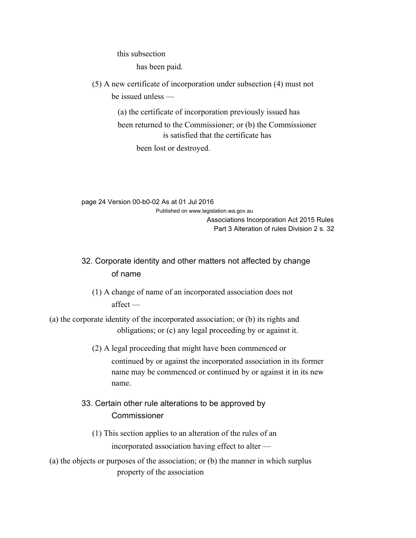this subsection

has been paid.

(5) A new certificate of incorporation under subsection (4) must not be issued unless —

> (a) the certificate of incorporation previously issued has been returned to the Commissioner; or (b) the Commissioner is satisfied that the certificate has been lost or destroyed.

page 24 Version 00-b0-02 As at 01 Jul 2016 Published on www.legislation.wa.gov.au Associations Incorporation Act 2015 Rules Part 3 Alteration of rules Division 2 s. 32

# 32. Corporate identity and other matters not affected by change of name

- (1) A change of name of an incorporated association does not affect —
- (a) the corporate identity of the incorporated association; or (b) its rights and obligations; or (c) any legal proceeding by or against it.
	- (2) A legal proceeding that might have been commenced or continued by or against the incorporated association in its former name may be commenced or continued by or against it in its new name.
	- 33. Certain other rule alterations to be approved by **Commissioner** 
		- (1) This section applies to an alteration of the rules of an incorporated association having effect to alter —
- (a) the objects or purposes of the association; or (b) the manner in which surplus property of the association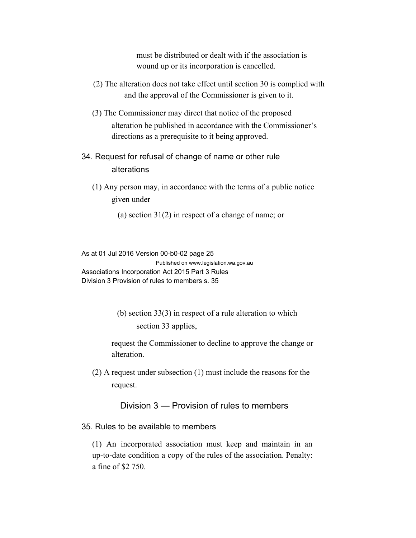must be distributed or dealt with if the association is wound up or its incorporation is cancelled.

- (2) The alteration does not take effect until section 30 is complied with and the approval of the Commissioner is given to it.
- (3) The Commissioner may direct that notice of the proposed alteration be published in accordance with the Commissioner's directions as a prerequisite to it being approved.
- 34. Request for refusal of change of name or other rule alterations
	- (1) Any person may, in accordance with the terms of a public notice given under —
		- (a) section 31(2) in respect of a change of name; or

As at 01 Jul 2016 Version 00-b0-02 page 25 Published on www.legislation.wa.gov.au Associations Incorporation Act 2015 Part 3 Rules Division 3 Provision of rules to members s. 35

> (b) section 33(3) in respect of a rule alteration to which section 33 applies,

request the Commissioner to decline to approve the change or alteration.

(2) A request under subsection (1) must include the reasons for the request.

Division 3 — Provision of rules to members

#### 35. Rules to be available to members

(1) An incorporated association must keep and maintain in an up-to-date condition a copy of the rules of the association. Penalty: a fine of \$2 750.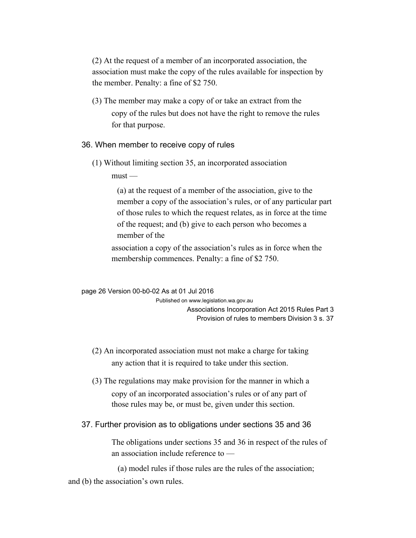(2) At the request of a member of an incorporated association, the association must make the copy of the rules available for inspection by the member. Penalty: a fine of \$2 750.

(3) The member may make a copy of or take an extract from the copy of the rules but does not have the right to remove the rules for that purpose.

#### 36. When member to receive copy of rules

(1) Without limiting section 35, an incorporated association

 $must -$ 

(a) at the request of a member of the association, give to the member a copy of the association's rules, or of any particular part of those rules to which the request relates, as in force at the time of the request; and (b) give to each person who becomes a member of the

association a copy of the association's rules as in force when the membership commences. Penalty: a fine of \$2 750.

page 26 Version 00-b0-02 As at 01 Jul 2016 Published on www.legislation.wa.gov.au Associations Incorporation Act 2015 Rules Part 3 Provision of rules to members Division 3 s. 37

- (2) An incorporated association must not make a charge for taking any action that it is required to take under this section.
- (3) The regulations may make provision for the manner in which a copy of an incorporated association's rules or of any part of those rules may be, or must be, given under this section.

#### 37. Further provision as to obligations under sections 35 and 36

The obligations under sections 35 and 36 in respect of the rules of an association include reference to —

(a) model rules if those rules are the rules of the association; and (b) the association's own rules.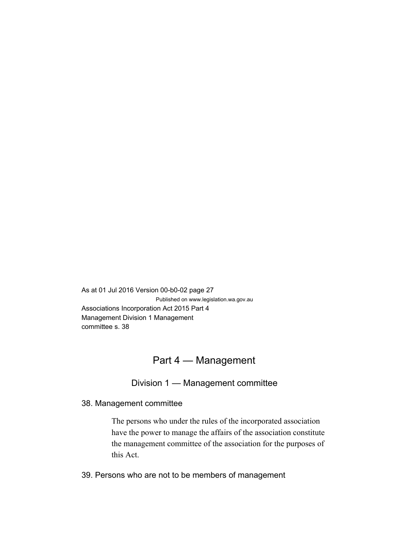As at 01 Jul 2016 Version 00-b0-02 page 27 Published on www.legislation.wa.gov.au Associations Incorporation Act 2015 Part 4 Management Division 1 Management committee s. 38

# Part 4 — Management

# Division 1 — Management committee

38. Management committee

The persons who under the rules of the incorporated association have the power to manage the affairs of the association constitute the management committee of the association for the purposes of this Act.

39. Persons who are not to be members of management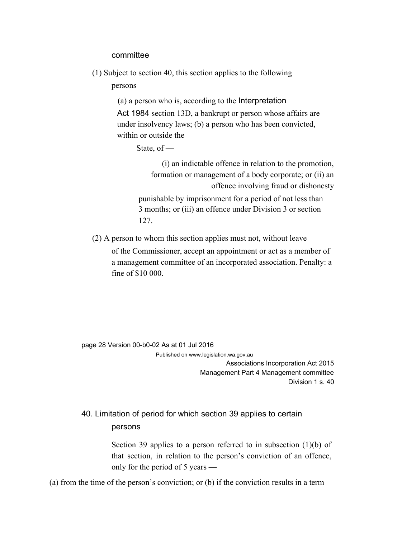#### committee

(1) Subject to section 40, this section applies to the following

persons —

(a) a person who is, according to the Interpretation Act 1984 section 13D, a bankrupt or person whose affairs are under insolvency laws; (b) a person who has been convicted, within or outside the

State, of —

(i) an indictable offence in relation to the promotion, formation or management of a body corporate; or (ii) an offence involving fraud or dishonesty punishable by imprisonment for a period of not less than

3 months; or (iii) an offence under Division 3 or section 127.

(2) A person to whom this section applies must not, without leave of the Commissioner, accept an appointment or act as a member of a management committee of an incorporated association. Penalty: a fine of \$10 000.

page 28 Version 00-b0-02 As at 01 Jul 2016

Published on www.legislation.wa.gov.au

Associations Incorporation Act 2015 Management Part 4 Management committee Division 1 s. 40

# 40. Limitation of period for which section 39 applies to certain persons

Section 39 applies to a person referred to in subsection (1)(b) of that section, in relation to the person's conviction of an offence, only for the period of 5 years —

(a) from the time of the person's conviction; or (b) if the conviction results in a term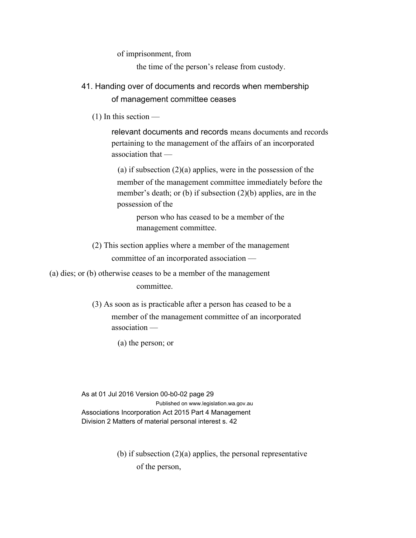of imprisonment, from

the time of the person's release from custody.

- 41. Handing over of documents and records when membership of management committee ceases
	- (1) In this section —

relevant documents and records means documents and records pertaining to the management of the affairs of an incorporated association that —

(a) if subsection  $(2)(a)$  applies, were in the possession of the member of the management committee immediately before the member's death; or (b) if subsection (2)(b) applies, are in the possession of the

person who has ceased to be a member of the management committee.

(2) This section applies where a member of the management committee of an incorporated association —

(a) dies; or (b) otherwise ceases to be a member of the management committee.

> (3) As soon as is practicable after a person has ceased to be a member of the management committee of an incorporated association —

> > (a) the person; or

As at 01 Jul 2016 Version 00-b0-02 page 29 Published on www.legislation.wa.gov.au Associations Incorporation Act 2015 Part 4 Management Division 2 Matters of material personal interest s. 42

> (b) if subsection (2)(a) applies, the personal representative of the person,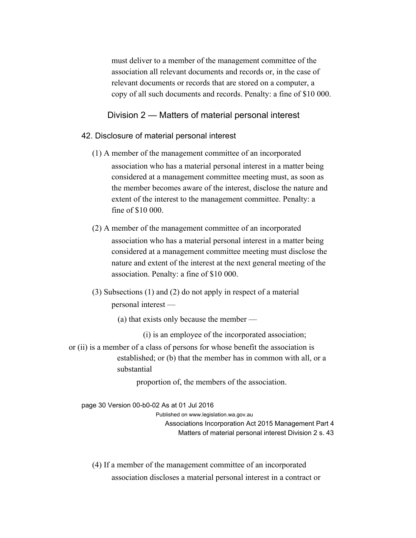must deliver to a member of the management committee of the association all relevant documents and records or, in the case of relevant documents or records that are stored on a computer, a copy of all such documents and records. Penalty: a fine of \$10 000.

Division 2 — Matters of material personal interest

#### 42. Disclosure of material personal interest

- (1) A member of the management committee of an incorporated association who has a material personal interest in a matter being considered at a management committee meeting must, as soon as the member becomes aware of the interest, disclose the nature and extent of the interest to the management committee. Penalty: a fine of \$10 000.
- (2) A member of the management committee of an incorporated association who has a material personal interest in a matter being considered at a management committee meeting must disclose the nature and extent of the interest at the next general meeting of the association. Penalty: a fine of \$10 000.
- (3) Subsections (1) and (2) do not apply in respect of a material personal interest —
	- (a) that exists only because the member —

(i) is an employee of the incorporated association;

or (ii) is a member of a class of persons for whose benefit the association is established; or (b) that the member has in common with all, or a substantial

proportion of, the members of the association.

page 30 Version 00-b0-02 As at 01 Jul 2016 Published on www.legislation.wa.gov.au Associations Incorporation Act 2015 Management Part 4 Matters of material personal interest Division 2 s. 43

(4) If a member of the management committee of an incorporated association discloses a material personal interest in a contract or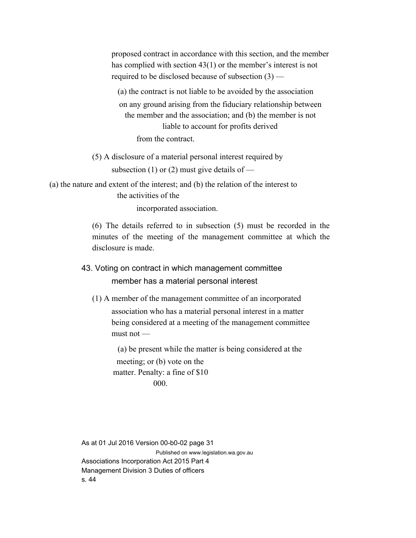proposed contract in accordance with this section, and the member has complied with section 43(1) or the member's interest is not required to be disclosed because of subsection (3) —

(a) the contract is not liable to be avoided by the association on any ground arising from the fiduciary relationship between the member and the association; and (b) the member is not liable to account for profits derived from the contract.

(5) A disclosure of a material personal interest required by subsection (1) or (2) must give details of —

(a) the nature and extent of the interest; and (b) the relation of the interest to the activities of the

incorporated association.

(6) The details referred to in subsection (5) must be recorded in the minutes of the meeting of the management committee at which the disclosure is made.

# 43. Voting on contract in which management committee member has a material personal interest

(1) A member of the management committee of an incorporated association who has a material personal interest in a matter being considered at a meeting of the management committee must not —

(a) be present while the matter is being considered at the meeting; or (b) vote on the matter. Penalty: a fine of \$10 000.

As at 01 Jul 2016 Version 00-b0-02 page 31 Published on www.legislation.wa.gov.au Associations Incorporation Act 2015 Part 4 Management Division 3 Duties of officers s. 44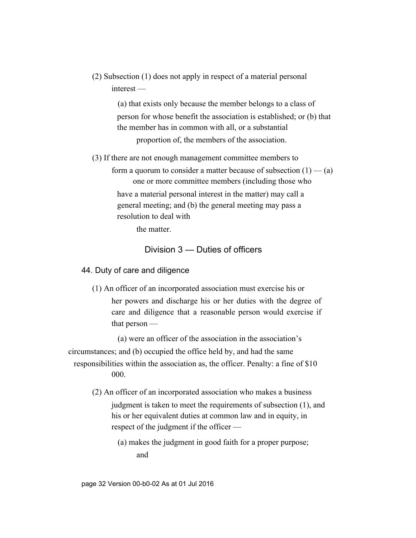(2) Subsection (1) does not apply in respect of a material personal interest —

> (a) that exists only because the member belongs to a class of person for whose benefit the association is established; or (b) that the member has in common with all, or a substantial proportion of, the members of the association.

(3) If there are not enough management committee members to

form a quorum to consider a matter because of subsection  $(1)$  — (a) one or more committee members (including those who have a material personal interest in the matter) may call a general meeting; and (b) the general meeting may pass a resolution to deal with

the matter.

# Division 3 — Duties of officers

### 44. Duty of care and diligence

(1) An officer of an incorporated association must exercise his or her powers and discharge his or her duties with the degree of care and diligence that a reasonable person would exercise if that person —

(a) were an officer of the association in the association's circumstances; and (b) occupied the office held by, and had the same responsibilities within the association as, the officer. Penalty: a fine of \$10 000.

- (2) An officer of an incorporated association who makes a business judgment is taken to meet the requirements of subsection (1), and his or her equivalent duties at common law and in equity, in respect of the judgment if the officer —
	- (a) makes the judgment in good faith for a proper purpose; and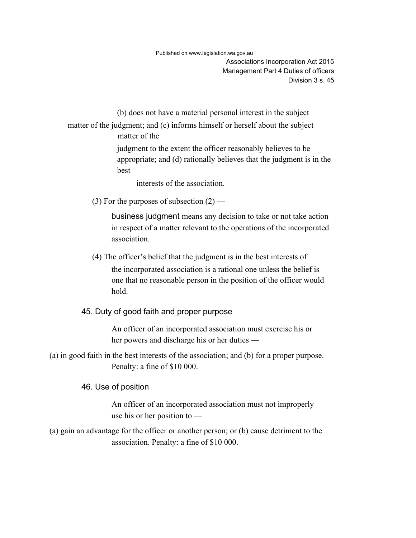Associations Incorporation Act 2015 Management Part 4 Duties of officers Division 3 s. 45

(b) does not have a material personal interest in the subject

matter of the judgment; and (c) informs himself or herself about the subject matter of the

> judgment to the extent the officer reasonably believes to be appropriate; and (d) rationally believes that the judgment is in the best

interests of the association.

(3) For the purposes of subsection  $(2)$  —

business judgment means any decision to take or not take action in respect of a matter relevant to the operations of the incorporated association.

(4) The officer's belief that the judgment is in the best interests of the incorporated association is a rational one unless the belief is one that no reasonable person in the position of the officer would hold.

#### 45. Duty of good faith and proper purpose

An officer of an incorporated association must exercise his or her powers and discharge his or her duties —

(a) in good faith in the best interests of the association; and (b) for a proper purpose. Penalty: a fine of \$10 000.

#### 46. Use of position

An officer of an incorporated association must not improperly use his or her position to —

(a) gain an advantage for the officer or another person; or (b) cause detriment to the association. Penalty: a fine of \$10 000.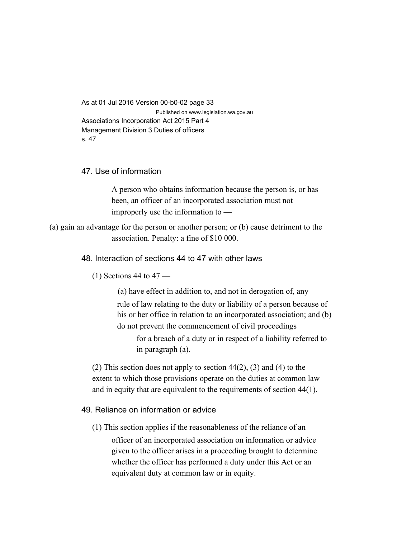As at 01 Jul 2016 Version 00-b0-02 page 33 Published on www.legislation.wa.gov.au Associations Incorporation Act 2015 Part 4 Management Division 3 Duties of officers s. 47

### 47. Use of information

A person who obtains information because the person is, or has been, an officer of an incorporated association must not improperly use the information to —

(a) gain an advantage for the person or another person; or (b) cause detriment to the association. Penalty: a fine of \$10 000.

#### 48. Interaction of sections 44 to 47 with other laws

 $(1)$  Sections 44 to 47 —

(a) have effect in addition to, and not in derogation of, any rule of law relating to the duty or liability of a person because of his or her office in relation to an incorporated association; and (b) do not prevent the commencement of civil proceedings

for a breach of a duty or in respect of a liability referred to in paragraph (a).

(2) This section does not apply to section  $44(2)$ , (3) and (4) to the extent to which those provisions operate on the duties at common law and in equity that are equivalent to the requirements of section 44(1).

#### 49. Reliance on information or advice

(1) This section applies if the reasonableness of the reliance of an officer of an incorporated association on information or advice given to the officer arises in a proceeding brought to determine whether the officer has performed a duty under this Act or an equivalent duty at common law or in equity.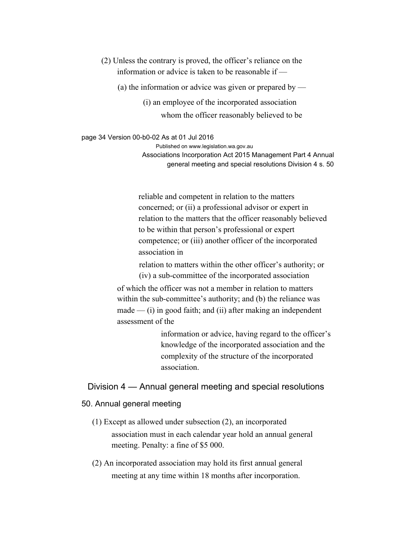(2) Unless the contrary is proved, the officer's reliance on the information or advice is taken to be reasonable if —

(a) the information or advice was given or prepared by —

(i) an employee of the incorporated association whom the officer reasonably believed to be

page 34 Version 00-b0-02 As at 01 Jul 2016

Published on www.legislation.wa.gov.au

Associations Incorporation Act 2015 Management Part 4 Annual general meeting and special resolutions Division 4 s. 50

reliable and competent in relation to the matters concerned; or (ii) a professional advisor or expert in relation to the matters that the officer reasonably believed to be within that person's professional or expert competence; or (iii) another officer of the incorporated association in

relation to matters within the other officer's authority; or (iv) a sub-committee of the incorporated association

of which the officer was not a member in relation to matters within the sub-committee's authority; and (b) the reliance was  $made$  — (i) in good faith; and (ii) after making an independent assessment of the

> information or advice, having regard to the officer's knowledge of the incorporated association and the complexity of the structure of the incorporated association.

Division 4 — Annual general meeting and special resolutions

#### 50. Annual general meeting

- (1) Except as allowed under subsection (2), an incorporated association must in each calendar year hold an annual general meeting. Penalty: a fine of \$5 000.
- (2) An incorporated association may hold its first annual general meeting at any time within 18 months after incorporation.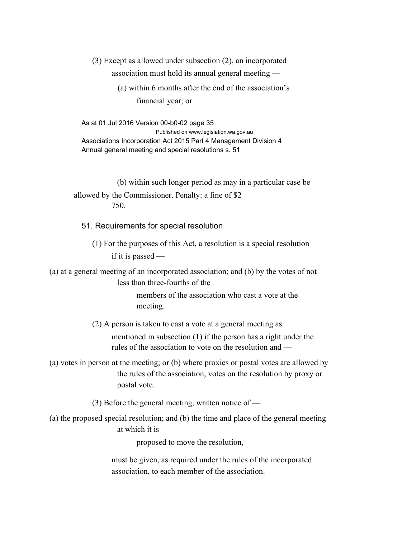(3) Except as allowed under subsection (2), an incorporated association must hold its annual general meeting —

> (a) within 6 months after the end of the association's financial year; or

As at 01 Jul 2016 Version 00-b0-02 page 35 Published on www.legislation.wa.gov.au Associations Incorporation Act 2015 Part 4 Management Division 4 Annual general meeting and special resolutions s. 51

(b) within such longer period as may in a particular case be allowed by the Commissioner. Penalty: a fine of \$2 750.

51. Requirements for special resolution

(1) For the purposes of this Act, a resolution is a special resolution if it is passed —

(a) at a general meeting of an incorporated association; and (b) by the votes of not less than three-fourths of the

> members of the association who cast a vote at the meeting.

(2) A person is taken to cast a vote at a general meeting as mentioned in subsection (1) if the person has a right under the rules of the association to vote on the resolution and —

(a) votes in person at the meeting; or (b) where proxies or postal votes are allowed by the rules of the association, votes on the resolution by proxy or postal vote.

(3) Before the general meeting, written notice of —

(a) the proposed special resolution; and (b) the time and place of the general meeting at which it is

proposed to move the resolution,

must be given, as required under the rules of the incorporated association, to each member of the association.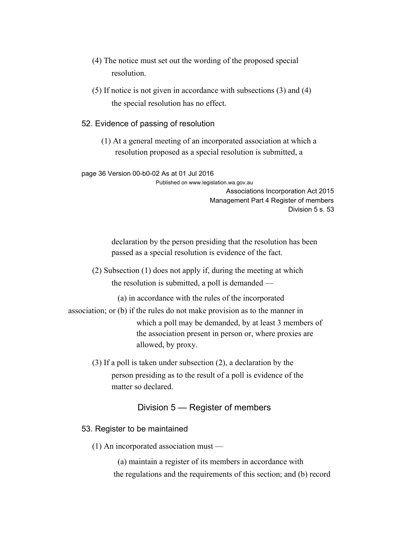- (4) The notice must set out the wording of the proposed special resolution.
- (5) If notice is not given in accordance with subsections (3) and (4) the special resolution has no effect.
- 52. Evidence of passing of resolution
	- (1) At a general meeting of an incorporated association at which a resolution proposed as a special resolution is submitted, a

#### page 36 Version 00-b0-02 As at 01 Jul 2016

Published on www.legislation.wa.gov.au

Associations Incorporation Act 2015 Management Part 4 Register of members Division 5 s. 53

declaration by the person presiding that the resolution has been passed as a special resolution is evidence of the fact.

(2) Subsection (1) does not apply if, during the meeting at which the resolution is submitted, a poll is demanded —

(a) in accordance with the rules of the incorporated

- association; or (b) if the rules do not make provision as to the manner in which a poll may be demanded, by at least 3 members of the association present in person or, where proxies are allowed, by proxy.
	- (3) If a poll is taken under subsection (2), a declaration by the person presiding as to the result of a poll is evidence of the matter so declared.

#### Division 5 — Register of members

- 53. Register to be maintained
	- (1) An incorporated association must —

(a) maintain a register of its members in accordance with the regulations and the requirements of this section; and (b) record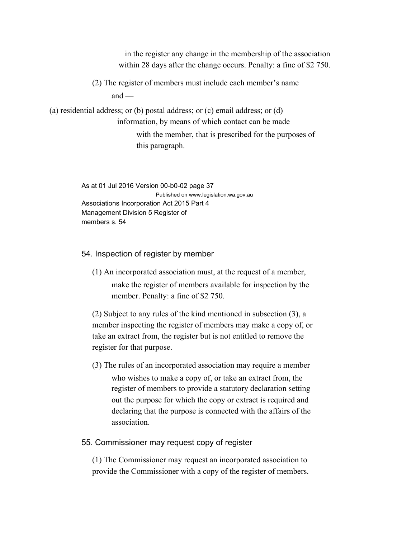in the register any change in the membership of the association within 28 days after the change occurs. Penalty: a fine of \$2 750. (2) The register of members must include each member's name and  $-$ (a) residential address; or (b) postal address; or (c) email address; or (d) information, by means of which contact can be made with the member, that is prescribed for the purposes of this paragraph.

> As at 01 Jul 2016 Version 00-b0-02 page 37 Published on www.legislation.wa.gov.au Associations Incorporation Act 2015 Part 4 Management Division 5 Register of members s. 54

54. Inspection of register by member

(1) An incorporated association must, at the request of a member, make the register of members available for inspection by the member. Penalty: a fine of \$2 750.

(2) Subject to any rules of the kind mentioned in subsection (3), a member inspecting the register of members may make a copy of, or take an extract from, the register but is not entitled to remove the register for that purpose.

(3) The rules of an incorporated association may require a member who wishes to make a copy of, or take an extract from, the register of members to provide a statutory declaration setting out the purpose for which the copy or extract is required and declaring that the purpose is connected with the affairs of the association.

55. Commissioner may request copy of register

(1) The Commissioner may request an incorporated association to provide the Commissioner with a copy of the register of members.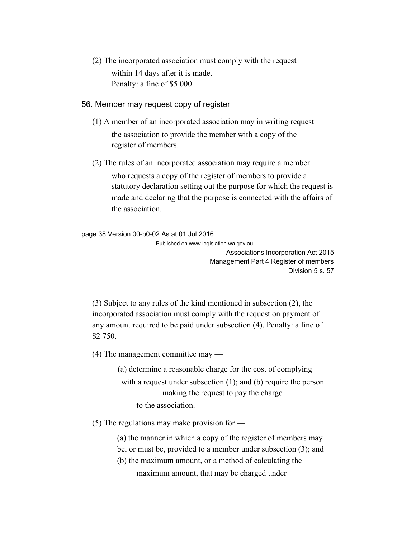(2) The incorporated association must comply with the request within 14 days after it is made. Penalty: a fine of \$5 000.

#### 56. Member may request copy of register

- (1) A member of an incorporated association may in writing request the association to provide the member with a copy of the register of members.
- (2) The rules of an incorporated association may require a member who requests a copy of the register of members to provide a statutory declaration setting out the purpose for which the request is made and declaring that the purpose is connected with the affairs of the association.

page 38 Version 00-b0-02 As at 01 Jul 2016

Published on www.legislation.wa.gov.au Associations Incorporation Act 2015 Management Part 4 Register of members

Division 5 s. 57

(3) Subject to any rules of the kind mentioned in subsection (2), the incorporated association must comply with the request on payment of any amount required to be paid under subsection (4). Penalty: a fine of \$2 750.

(4) The management committee may —

(a) determine a reasonable charge for the cost of complying with a request under subsection (1); and (b) require the person making the request to pay the charge to the association.

(5) The regulations may make provision for —

(a) the manner in which a copy of the register of members may

- be, or must be, provided to a member under subsection (3); and
- (b) the maximum amount, or a method of calculating the maximum amount, that may be charged under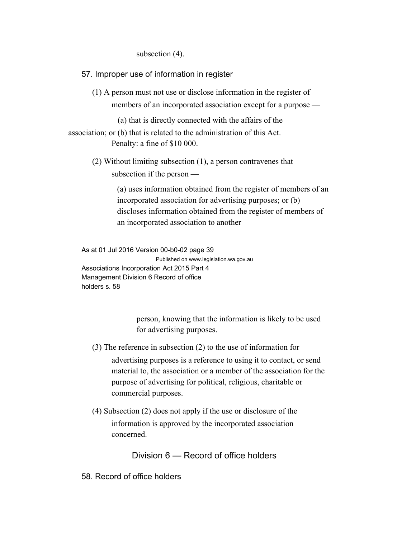subsection (4).

57. Improper use of information in register

(1) A person must not use or disclose information in the register of members of an incorporated association except for a purpose —

(a) that is directly connected with the affairs of the

association; or (b) that is related to the administration of this Act. Penalty: a fine of \$10 000.

> (2) Without limiting subsection (1), a person contravenes that subsection if the person —

> > (a) uses information obtained from the register of members of an incorporated association for advertising purposes; or (b) discloses information obtained from the register of members of an incorporated association to another

As at 01 Jul 2016 Version 00-b0-02 page 39 Published on www.legislation.wa.gov.au Associations Incorporation Act 2015 Part 4 Management Division 6 Record of office holders s. 58

> person, knowing that the information is likely to be used for advertising purposes.

- (3) The reference in subsection (2) to the use of information for advertising purposes is a reference to using it to contact, or send material to, the association or a member of the association for the purpose of advertising for political, religious, charitable or commercial purposes.
- (4) Subsection (2) does not apply if the use or disclosure of the information is approved by the incorporated association concerned.

Division 6 — Record of office holders

58. Record of office holders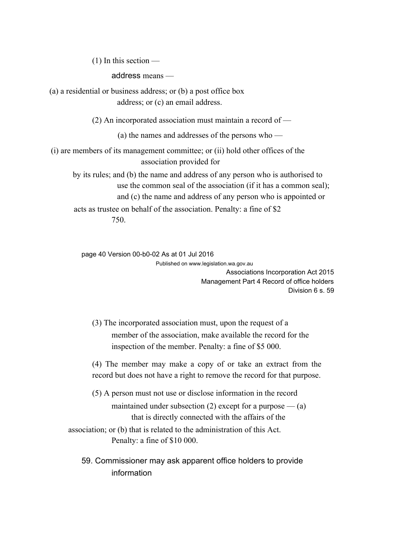(1) In this section —

address means —

(a) a residential or business address; or (b) a post office box address; or (c) an email address.

(2) An incorporated association must maintain a record of —

(a) the names and addresses of the persons who —

(i) are members of its management committee; or (ii) hold other offices of the association provided for

by its rules; and (b) the name and address of any person who is authorised to use the common seal of the association (if it has a common seal); and (c) the name and address of any person who is appointed or acts as trustee on behalf of the association. Penalty: a fine of \$2 750.

page 40 Version 00-b0-02 As at 01 Jul 2016 Published on www.legislation.wa.gov.au

Associations Incorporation Act 2015 Management Part 4 Record of office holders Division 6 s. 59

(3) The incorporated association must, upon the request of a member of the association, make available the record for the inspection of the member. Penalty: a fine of \$5 000.

(4) The member may make a copy of or take an extract from the record but does not have a right to remove the record for that purpose.

(5) A person must not use or disclose information in the record maintained under subsection (2) except for a purpose  $-$  (a) that is directly connected with the affairs of the

association; or (b) that is related to the administration of this Act. Penalty: a fine of \$10 000.

59. Commissioner may ask apparent office holders to provide information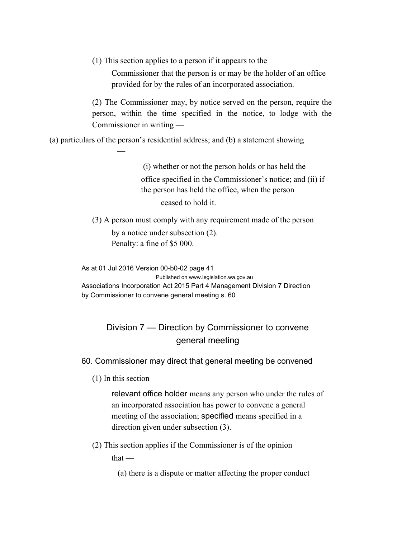(1) This section applies to a person if it appears to the

Commissioner that the person is or may be the holder of an office provided for by the rules of an incorporated association.

(2) The Commissioner may, by notice served on the person, require the person, within the time specified in the notice, to lodge with the Commissioner in writing —

(a) particulars of the person's residential address; and (b) a statement showing

(i) whether or not the person holds or has held the office specified in the Commissioner's notice; and (ii) if the person has held the office, when the person ceased to hold it.

(3) A person must comply with any requirement made of the person by a notice under subsection (2). Penalty: a fine of \$5 000.

As at 01 Jul 2016 Version 00-b0-02 page 41

Published on www.legislation.wa.gov.au Associations Incorporation Act 2015 Part 4 Management Division 7 Direction by Commissioner to convene general meeting s. 60

# Division 7 — Direction by Commissioner to convene general meeting

60. Commissioner may direct that general meeting be convened

(1) In this section —

—

relevant office holder means any person who under the rules of an incorporated association has power to convene a general meeting of the association; specified means specified in a direction given under subsection (3).

(2) This section applies if the Commissioner is of the opinion

that —

(a) there is a dispute or matter affecting the proper conduct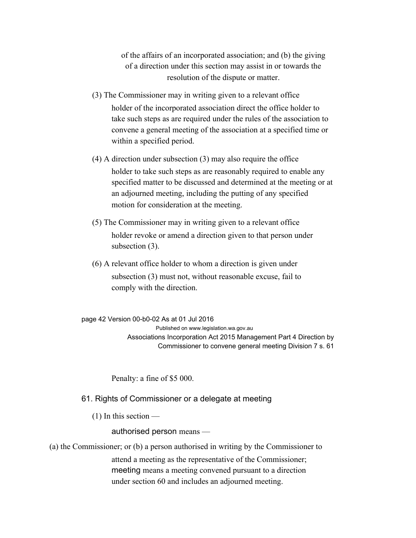of the affairs of an incorporated association; and (b) the giving of a direction under this section may assist in or towards the resolution of the dispute or matter.

- (3) The Commissioner may in writing given to a relevant office holder of the incorporated association direct the office holder to take such steps as are required under the rules of the association to convene a general meeting of the association at a specified time or within a specified period.
- (4) A direction under subsection (3) may also require the office holder to take such steps as are reasonably required to enable any specified matter to be discussed and determined at the meeting or at an adjourned meeting, including the putting of any specified motion for consideration at the meeting.
- (5) The Commissioner may in writing given to a relevant office holder revoke or amend a direction given to that person under subsection (3).
- (6) A relevant office holder to whom a direction is given under subsection (3) must not, without reasonable excuse, fail to comply with the direction.

page 42 Version 00-b0-02 As at 01 Jul 2016 Published on www.legislation.wa.gov.au Associations Incorporation Act 2015 Management Part 4 Direction by Commissioner to convene general meeting Division 7 s. 61

Penalty: a fine of \$5 000.

61. Rights of Commissioner or a delegate at meeting

(1) In this section —

authorised person means —

(a) the Commissioner; or (b) a person authorised in writing by the Commissioner to

attend a meeting as the representative of the Commissioner; meeting means a meeting convened pursuant to a direction under section 60 and includes an adjourned meeting.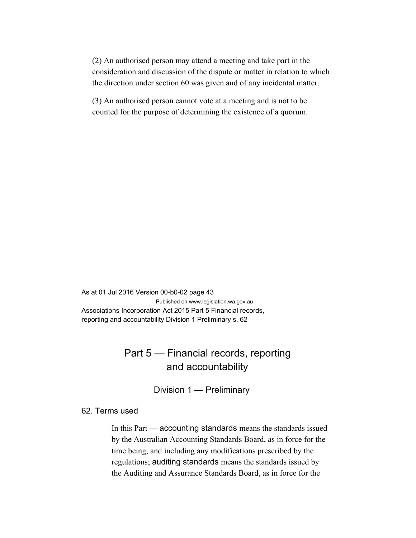(2) An authorised person may attend a meeting and take part in the consideration and discussion of the dispute or matter in relation to which the direction under section 60 was given and of any incidental matter.

(3) An authorised person cannot vote at a meeting and is not to be counted for the purpose of determining the existence of a quorum.

As at 01 Jul 2016 Version 00-b0-02 page 43 Published on www.legislation.wa.gov.au Associations Incorporation Act 2015 Part 5 Financial records, reporting and accountability Division 1 Preliminary s. 62

# Part 5 — Financial records, reporting and accountability

Division 1 — Preliminary

### 62. Terms used

In this Part — accounting standards means the standards issued by the Australian Accounting Standards Board, as in force for the time being, and including any modifications prescribed by the regulations; auditing standards means the standards issued by the Auditing and Assurance Standards Board, as in force for the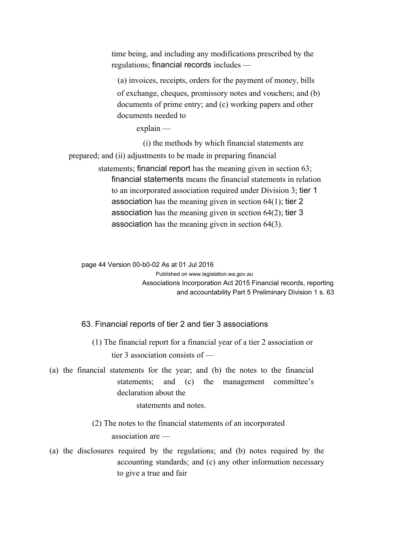time being, and including any modifications prescribed by the regulations; financial records includes —

(a) invoices, receipts, orders for the payment of money, bills of exchange, cheques, promissory notes and vouchers; and (b) documents of prime entry; and (c) working papers and other documents needed to

explain —

(i) the methods by which financial statements are

prepared; and (ii) adjustments to be made in preparing financial

statements; financial report has the meaning given in section 63; financial statements means the financial statements in relation to an incorporated association required under Division 3; tier 1 association has the meaning given in section 64(1); tier 2 association has the meaning given in section 64(2); tier 3 association has the meaning given in section 64(3).

page 44 Version 00-b0-02 As at 01 Jul 2016 Published on www.legislation.wa.gov.au Associations Incorporation Act 2015 Financial records, reporting and accountability Part 5 Preliminary Division 1 s. 63

63. Financial reports of tier 2 and tier 3 associations

- (1) The financial report for a financial year of a tier 2 association or tier 3 association consists of —
- (a) the financial statements for the year; and (b) the notes to the financial statements; and (c) the management committee's declaration about the

statements and notes.

(2) The notes to the financial statements of an incorporated

association are —

(a) the disclosures required by the regulations; and (b) notes required by the accounting standards; and (c) any other information necessary to give a true and fair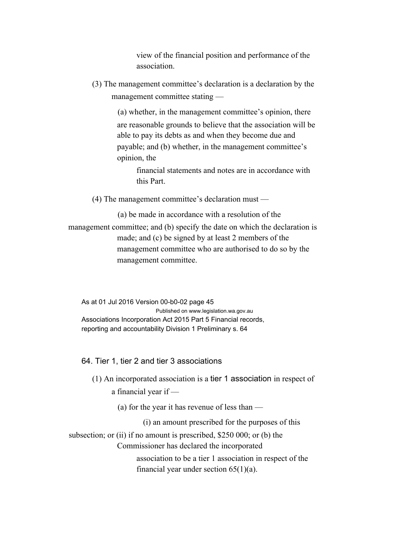view of the financial position and performance of the association.

(3) The management committee's declaration is a declaration by the management committee stating —

> (a) whether, in the management committee's opinion, there are reasonable grounds to believe that the association will be able to pay its debts as and when they become due and payable; and (b) whether, in the management committee's opinion, the

financial statements and notes are in accordance with this Part.

(4) The management committee's declaration must —

(a) be made in accordance with a resolution of the management committee; and (b) specify the date on which the declaration is made; and (c) be signed by at least 2 members of the management committee who are authorised to do so by the management committee.

As at 01 Jul 2016 Version 00-b0-02 page 45 Published on www.legislation.wa.gov.au Associations Incorporation Act 2015 Part 5 Financial records, reporting and accountability Division 1 Preliminary s. 64

### 64. Tier 1, tier 2 and tier 3 associations

- (1) An incorporated association is a tier 1 association in respect of
	- a financial year if
		- (a) for the year it has revenue of less than
			- (i) an amount prescribed for the purposes of this

subsection; or (ii) if no amount is prescribed, \$250 000; or (b) the

Commissioner has declared the incorporated

association to be a tier 1 association in respect of the financial year under section  $65(1)(a)$ .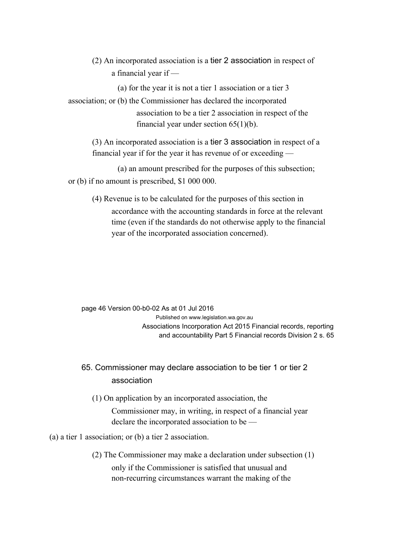(2) An incorporated association is a tier 2 association in respect of a financial year if —

(a) for the year it is not a tier 1 association or a tier 3

association; or (b) the Commissioner has declared the incorporated association to be a tier 2 association in respect of the financial year under section  $65(1)(b)$ .

(3) An incorporated association is a tier 3 association in respect of a financial year if for the year it has revenue of or exceeding —

(a) an amount prescribed for the purposes of this subsection; or (b) if no amount is prescribed, \$1 000 000.

(4) Revenue is to be calculated for the purposes of this section in accordance with the accounting standards in force at the relevant time (even if the standards do not otherwise apply to the financial year of the incorporated association concerned).

page 46 Version 00-b0-02 As at 01 Jul 2016 Published on www.legislation.wa.gov.au Associations Incorporation Act 2015 Financial records, reporting and accountability Part 5 Financial records Division 2 s. 65

65. Commissioner may declare association to be tier 1 or tier 2 association

(1) On application by an incorporated association, the

Commissioner may, in writing, in respect of a financial year declare the incorporated association to be —

(a) a tier 1 association; or (b) a tier 2 association.

(2) The Commissioner may make a declaration under subsection (1) only if the Commissioner is satisfied that unusual and non-recurring circumstances warrant the making of the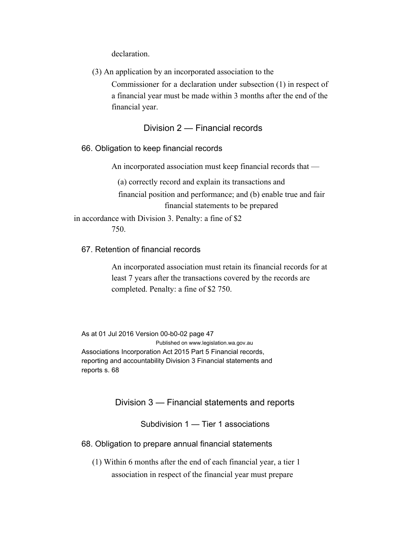declaration.

(3) An application by an incorporated association to the

Commissioner for a declaration under subsection (1) in respect of a financial year must be made within 3 months after the end of the financial year.

### Division 2 — Financial records

66. Obligation to keep financial records

An incorporated association must keep financial records that —

(a) correctly record and explain its transactions and

financial position and performance; and (b) enable true and fair financial statements to be prepared

in accordance with Division 3. Penalty: a fine of \$2 750.

#### 67. Retention of financial records

An incorporated association must retain its financial records for at least 7 years after the transactions covered by the records are completed. Penalty: a fine of \$2 750.

As at 01 Jul 2016 Version 00-b0-02 page 47 Published on www.legislation.wa.gov.au Associations Incorporation Act 2015 Part 5 Financial records, reporting and accountability Division 3 Financial statements and reports s. 68

Division 3 — Financial statements and reports

Subdivision 1 — Tier 1 associations

68. Obligation to prepare annual financial statements

(1) Within 6 months after the end of each financial year, a tier 1 association in respect of the financial year must prepare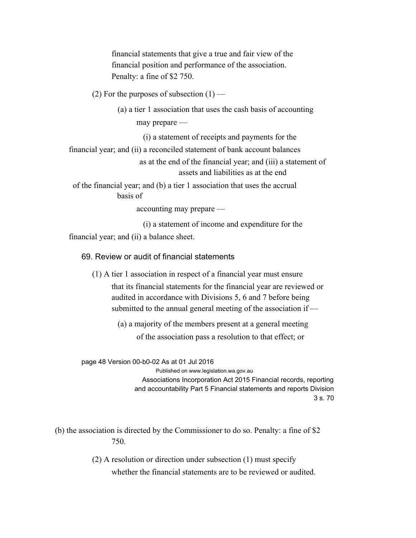financial statements that give a true and fair view of the financial position and performance of the association. Penalty: a fine of \$2 750.

(2) For the purposes of subsection  $(1)$  —

(a) a tier 1 association that uses the cash basis of accounting

may prepare —

(i) a statement of receipts and payments for the

financial year; and (ii) a reconciled statement of bank account balances

as at the end of the financial year; and (iii) a statement of assets and liabilities as at the end

of the financial year; and (b) a tier 1 association that uses the accrual basis of

accounting may prepare —

(i) a statement of income and expenditure for the

financial year; and (ii) a balance sheet.

69. Review or audit of financial statements

(1) A tier 1 association in respect of a financial year must ensure

that its financial statements for the financial year are reviewed or audited in accordance with Divisions 5, 6 and 7 before being submitted to the annual general meeting of the association if —

(a) a majority of the members present at a general meeting of the association pass a resolution to that effect; or

page 48 Version 00-b0-02 As at 01 Jul 2016

Published on www.legislation.wa.gov.au Associations Incorporation Act 2015 Financial records, reporting and accountability Part 5 Financial statements and reports Division 3 s. 70

(b) the association is directed by the Commissioner to do so. Penalty: a fine of \$2 750.

> (2) A resolution or direction under subsection (1) must specify whether the financial statements are to be reviewed or audited.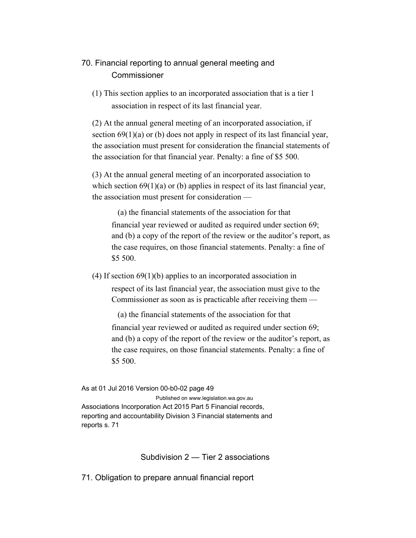# 70. Financial reporting to annual general meeting and **Commissioner**

(1) This section applies to an incorporated association that is a tier 1 association in respect of its last financial year.

(2) At the annual general meeting of an incorporated association, if section 69(1)(a) or (b) does not apply in respect of its last financial year, the association must present for consideration the financial statements of the association for that financial year. Penalty: a fine of \$5 500.

(3) At the annual general meeting of an incorporated association to which section  $69(1)(a)$  or (b) applies in respect of its last financial year, the association must present for consideration —

(a) the financial statements of the association for that financial year reviewed or audited as required under section 69; and (b) a copy of the report of the review or the auditor's report, as the case requires, on those financial statements. Penalty: a fine of \$5 500.

(4) If section 69(1)(b) applies to an incorporated association in respect of its last financial year, the association must give to the Commissioner as soon as is practicable after receiving them —

(a) the financial statements of the association for that financial year reviewed or audited as required under section 69; and (b) a copy of the report of the review or the auditor's report, as the case requires, on those financial statements. Penalty: a fine of \$5 500.

As at 01 Jul 2016 Version 00-b0-02 page 49 Published on www.legislation.wa.gov.au Associations Incorporation Act 2015 Part 5 Financial records, reporting and accountability Division 3 Financial statements and reports s. 71

Subdivision 2 — Tier 2 associations

71. Obligation to prepare annual financial report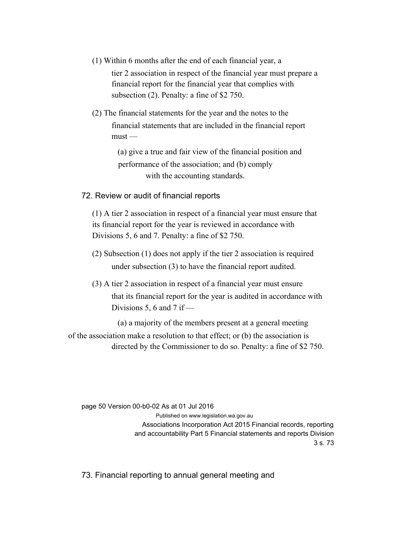- (1) Within 6 months after the end of each financial year, a tier 2 association in respect of the financial year must prepare a financial report for the financial year that complies with subsection (2). Penalty: a fine of \$2 750.
- (2) The financial statements for the year and the notes to the financial statements that are included in the financial report  $must -$

(a) give a true and fair view of the financial position and performance of the association; and (b) comply with the accounting standards.

72. Review or audit of financial reports

(1) A tier 2 association in respect of a financial year must ensure that its financial report for the year is reviewed in accordance with Divisions 5, 6 and 7. Penalty: a fine of \$2 750.

- (2) Subsection (1) does not apply if the tier 2 association is required under subsection (3) to have the financial report audited.
- (3) A tier 2 association in respect of a financial year must ensure that its financial report for the year is audited in accordance with Divisions 5, 6 and 7 if  $-$ 
	- (a) a majority of the members present at a general meeting
- of the association make a resolution to that effect; or (b) the association is directed by the Commissioner to do so. Penalty: a fine of \$2 750.

page 50 Version 00-b0-02 As at 01 Jul 2016

Published on www.legislation.wa.gov.au Associations Incorporation Act 2015 Financial records, reporting and accountability Part 5 Financial statements and reports Division 3 s. 73

73. Financial reporting to annual general meeting and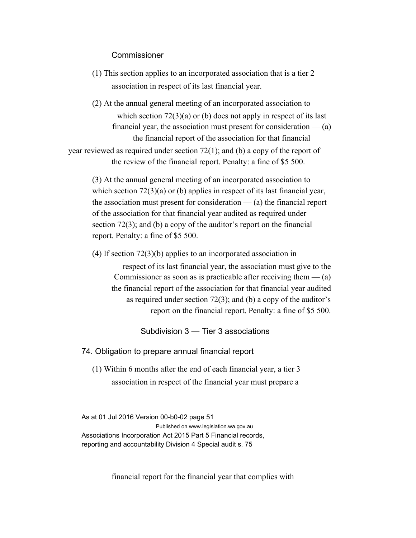#### Commissioner

- (1) This section applies to an incorporated association that is a tier 2 association in respect of its last financial year.
- (2) At the annual general meeting of an incorporated association to which section  $72(3)(a)$  or (b) does not apply in respect of its last financial year, the association must present for consideration  $-$  (a) the financial report of the association for that financial year reviewed as required under section 72(1); and (b) a copy of the report of

the review of the financial report. Penalty: a fine of \$5 500.

(3) At the annual general meeting of an incorporated association to which section  $72(3)(a)$  or (b) applies in respect of its last financial year, the association must present for consideration  $-$  (a) the financial report of the association for that financial year audited as required under section 72(3); and (b) a copy of the auditor's report on the financial report. Penalty: a fine of \$5 500.

(4) If section 72(3)(b) applies to an incorporated association in

respect of its last financial year, the association must give to the Commissioner as soon as is practicable after receiving them  $-$  (a) the financial report of the association for that financial year audited as required under section 72(3); and (b) a copy of the auditor's report on the financial report. Penalty: a fine of \$5 500.

### Subdivision 3 — Tier 3 associations

74. Obligation to prepare annual financial report

(1) Within 6 months after the end of each financial year, a tier 3 association in respect of the financial year must prepare a

As at 01 Jul 2016 Version 00-b0-02 page 51 Published on www.legislation.wa.gov.au Associations Incorporation Act 2015 Part 5 Financial records, reporting and accountability Division 4 Special audit s. 75

financial report for the financial year that complies with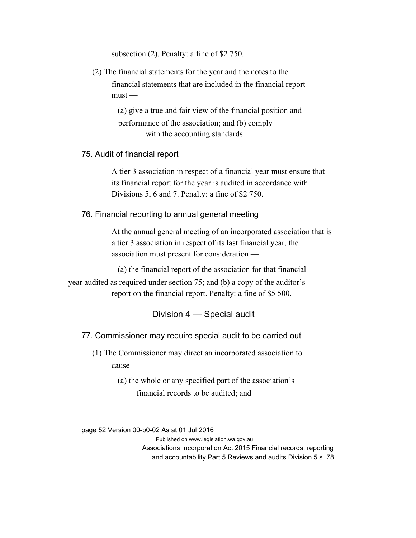subsection (2). Penalty: a fine of \$2 750.

(2) The financial statements for the year and the notes to the financial statements that are included in the financial report  $must -$ 

> (a) give a true and fair view of the financial position and performance of the association; and (b) comply with the accounting standards.

#### 75. Audit of financial report

A tier 3 association in respect of a financial year must ensure that its financial report for the year is audited in accordance with Divisions 5, 6 and 7. Penalty: a fine of \$2 750.

76. Financial reporting to annual general meeting

At the annual general meeting of an incorporated association that is a tier 3 association in respect of its last financial year, the association must present for consideration —

(a) the financial report of the association for that financial year audited as required under section 75; and (b) a copy of the auditor's report on the financial report. Penalty: a fine of \$5 500.

### Division 4 — Special audit

77. Commissioner may require special audit to be carried out

(1) The Commissioner may direct an incorporated association to cause —

> (a) the whole or any specified part of the association's financial records to be audited; and

page 52 Version 00-b0-02 As at 01 Jul 2016

Published on www.legislation.wa.gov.au Associations Incorporation Act 2015 Financial records, reporting and accountability Part 5 Reviews and audits Division 5 s. 78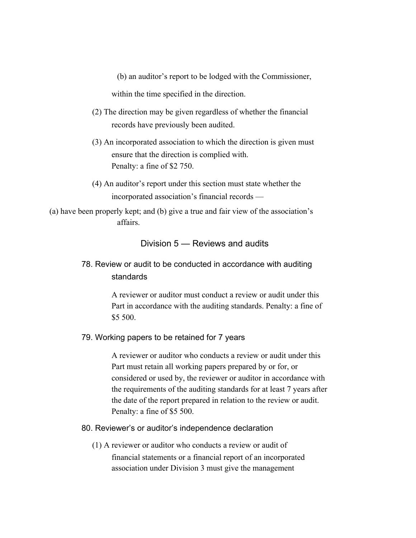(b) an auditor's report to be lodged with the Commissioner,

within the time specified in the direction.

- (2) The direction may be given regardless of whether the financial records have previously been audited.
- (3) An incorporated association to which the direction is given must ensure that the direction is complied with. Penalty: a fine of \$2 750.
- (4) An auditor's report under this section must state whether the incorporated association's financial records —

(a) have been properly kept; and (b) give a true and fair view of the association's affairs.

## Division 5 — Reviews and audits

78. Review or audit to be conducted in accordance with auditing standards

> A reviewer or auditor must conduct a review or audit under this Part in accordance with the auditing standards. Penalty: a fine of \$5 500.

#### 79. Working papers to be retained for 7 years

A reviewer or auditor who conducts a review or audit under this Part must retain all working papers prepared by or for, or considered or used by, the reviewer or auditor in accordance with the requirements of the auditing standards for at least 7 years after the date of the report prepared in relation to the review or audit. Penalty: a fine of \$5 500.

#### 80. Reviewer's or auditor's independence declaration

(1) A reviewer or auditor who conducts a review or audit of financial statements or a financial report of an incorporated association under Division 3 must give the management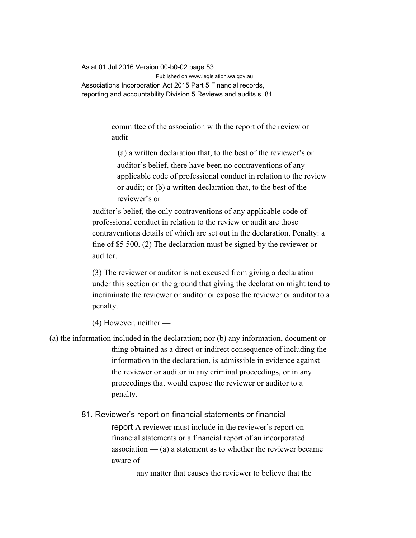As at 01 Jul 2016 Version 00-b0-02 page 53 Published on www.legislation.wa.gov.au Associations Incorporation Act 2015 Part 5 Financial records, reporting and accountability Division 5 Reviews and audits s. 81

> committee of the association with the report of the review or audit —

(a) a written declaration that, to the best of the reviewer's or auditor's belief, there have been no contraventions of any applicable code of professional conduct in relation to the review or audit; or (b) a written declaration that, to the best of the reviewer's or

auditor's belief, the only contraventions of any applicable code of professional conduct in relation to the review or audit are those contraventions details of which are set out in the declaration. Penalty: a fine of \$5 500. (2) The declaration must be signed by the reviewer or auditor.

(3) The reviewer or auditor is not excused from giving a declaration under this section on the ground that giving the declaration might tend to incriminate the reviewer or auditor or expose the reviewer or auditor to a penalty.

(4) However, neither —

(a) the information included in the declaration; nor (b) any information, document or thing obtained as a direct or indirect consequence of including the information in the declaration, is admissible in evidence against the reviewer or auditor in any criminal proceedings, or in any proceedings that would expose the reviewer or auditor to a penalty.

81. Reviewer's report on financial statements or financial

report A reviewer must include in the reviewer's report on financial statements or a financial report of an incorporated association  $-$  (a) a statement as to whether the reviewer became aware of

any matter that causes the reviewer to believe that the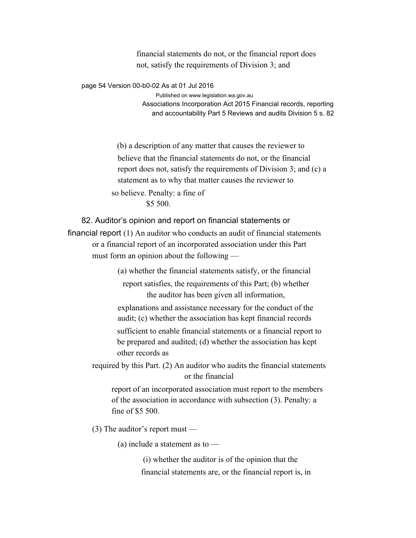financial statements do not, or the financial report does not, satisfy the requirements of Division 3; and

page 54 Version 00-b0-02 As at 01 Jul 2016

Published on www.legislation.wa.gov.au

Associations Incorporation Act 2015 Financial records, reporting and accountability Part 5 Reviews and audits Division 5 s. 82

(b) a description of any matter that causes the reviewer to believe that the financial statements do not, or the financial report does not, satisfy the requirements of Division 3; and (c) a statement as to why that matter causes the reviewer to so believe. Penalty: a fine of \$5 500.

82. Auditor's opinion and report on financial statements or financial report (1) An auditor who conducts an audit of financial statements or a financial report of an incorporated association under this Part must form an opinion about the following —

(a) whether the financial statements satisfy, or the financial

report satisfies, the requirements of this Part; (b) whether the auditor has been given all information,

explanations and assistance necessary for the conduct of the audit; (c) whether the association has kept financial records sufficient to enable financial statements or a financial report to be prepared and audited; (d) whether the association has kept other records as

required by this Part. (2) An auditor who audits the financial statements or the financial

report of an incorporated association must report to the members of the association in accordance with subsection (3). Penalty: a fine of \$5 500.

(3) The auditor's report must —

(a) include a statement as to —

(i) whether the auditor is of the opinion that the financial statements are, or the financial report is, in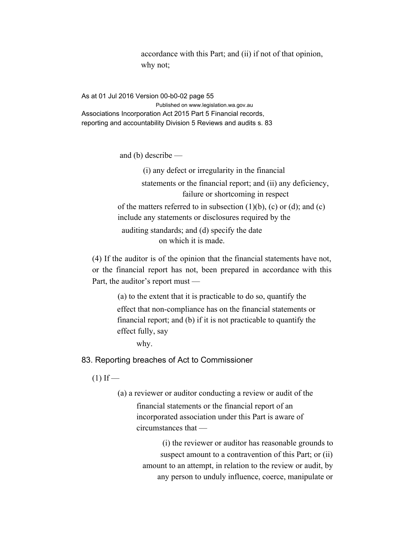accordance with this Part; and (ii) if not of that opinion, why not;

As at 01 Jul 2016 Version 00-b0-02 page 55 Published on www.legislation.wa.gov.au Associations Incorporation Act 2015 Part 5 Financial records, reporting and accountability Division 5 Reviews and audits s. 83

and (b) describe —

(i) any defect or irregularity in the financial statements or the financial report; and (ii) any deficiency, failure or shortcoming in respect of the matters referred to in subsection  $(1)(b)$ ,  $(c)$  or  $(d)$ ; and  $(c)$ include any statements or disclosures required by the auditing standards; and (d) specify the date on which it is made.

(4) If the auditor is of the opinion that the financial statements have not, or the financial report has not, been prepared in accordance with this Part, the auditor's report must —

> (a) to the extent that it is practicable to do so, quantify the effect that non-compliance has on the financial statements or financial report; and (b) if it is not practicable to quantify the effect fully, say

why.

83. Reporting breaches of Act to Commissioner

 $(1)$  If —

(a) a reviewer or auditor conducting a review or audit of the financial statements or the financial report of an incorporated association under this Part is aware of circumstances that —

> (i) the reviewer or auditor has reasonable grounds to suspect amount to a contravention of this Part; or (ii) amount to an attempt, in relation to the review or audit, by any person to unduly influence, coerce, manipulate or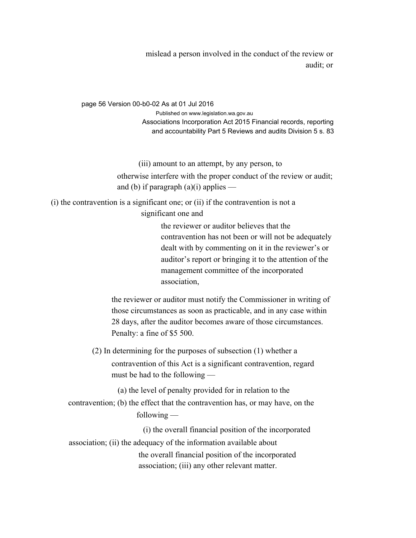mislead a person involved in the conduct of the review or audit; or

page 56 Version 00-b0-02 As at 01 Jul 2016 Published on www.legislation.wa.gov.au Associations Incorporation Act 2015 Financial records, reporting and accountability Part 5 Reviews and audits Division 5 s. 83

(iii) amount to an attempt, by any person, to

otherwise interfere with the proper conduct of the review or audit; and (b) if paragraph  $(a)(i)$  applies —

(i) the contravention is a significant one; or (ii) if the contravention is not a significant one and

> the reviewer or auditor believes that the contravention has not been or will not be adequately dealt with by commenting on it in the reviewer's or auditor's report or bringing it to the attention of the management committee of the incorporated association,

the reviewer or auditor must notify the Commissioner in writing of those circumstances as soon as practicable, and in any case within 28 days, after the auditor becomes aware of those circumstances. Penalty: a fine of \$5 500.

(2) In determining for the purposes of subsection (1) whether a contravention of this Act is a significant contravention, regard must be had to the following —

(a) the level of penalty provided for in relation to the

contravention; (b) the effect that the contravention has, or may have, on the following —

(i) the overall financial position of the incorporated association; (ii) the adequacy of the information available about the overall financial position of the incorporated association; (iii) any other relevant matter.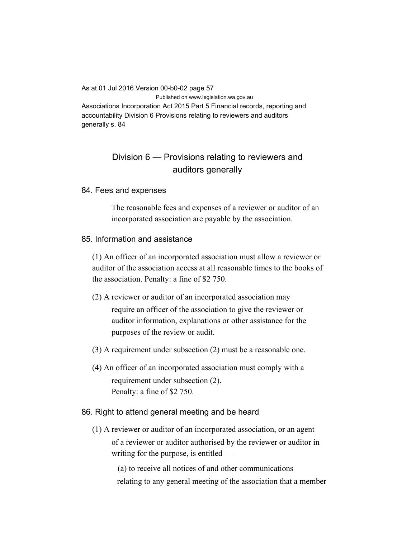As at 01 Jul 2016 Version 00-b0-02 page 57 Published on www.legislation.wa.gov.au

Associations Incorporation Act 2015 Part 5 Financial records, reporting and accountability Division 6 Provisions relating to reviewers and auditors generally s. 84

# Division 6 — Provisions relating to reviewers and auditors generally

#### 84. Fees and expenses

The reasonable fees and expenses of a reviewer or auditor of an incorporated association are payable by the association.

#### 85. Information and assistance

(1) An officer of an incorporated association must allow a reviewer or auditor of the association access at all reasonable times to the books of the association. Penalty: a fine of \$2 750.

- (2) A reviewer or auditor of an incorporated association may require an officer of the association to give the reviewer or auditor information, explanations or other assistance for the purposes of the review or audit.
- (3) A requirement under subsection (2) must be a reasonable one.
- (4) An officer of an incorporated association must comply with a requirement under subsection (2). Penalty: a fine of \$2 750.

#### 86. Right to attend general meeting and be heard

(1) A reviewer or auditor of an incorporated association, or an agent of a reviewer or auditor authorised by the reviewer or auditor in writing for the purpose, is entitled —

> (a) to receive all notices of and other communications relating to any general meeting of the association that a member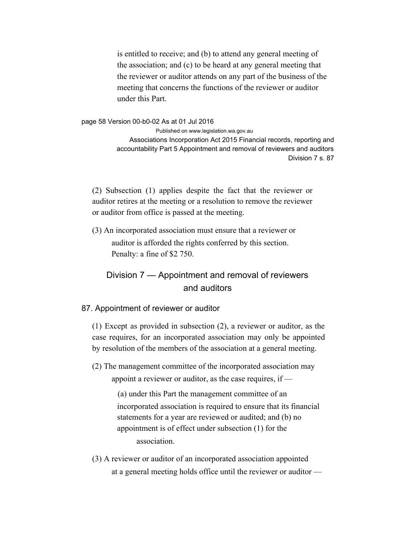is entitled to receive; and (b) to attend any general meeting of the association; and (c) to be heard at any general meeting that the reviewer or auditor attends on any part of the business of the meeting that concerns the functions of the reviewer or auditor under this Part.

page 58 Version 00-b0-02 As at 01 Jul 2016

Published on www.legislation.wa.gov.au Associations Incorporation Act 2015 Financial records, reporting and accountability Part 5 Appointment and removal of reviewers and auditors Division 7 s. 87

(2) Subsection (1) applies despite the fact that the reviewer or auditor retires at the meeting or a resolution to remove the reviewer or auditor from office is passed at the meeting.

(3) An incorporated association must ensure that a reviewer or auditor is afforded the rights conferred by this section. Penalty: a fine of \$2 750.

# Division 7 — Appointment and removal of reviewers and auditors

#### 87. Appointment of reviewer or auditor

(1) Except as provided in subsection (2), a reviewer or auditor, as the case requires, for an incorporated association may only be appointed by resolution of the members of the association at a general meeting.

(2) The management committee of the incorporated association may

appoint a reviewer or auditor, as the case requires, if —

(a) under this Part the management committee of an incorporated association is required to ensure that its financial statements for a year are reviewed or audited; and (b) no appointment is of effect under subsection (1) for the association.

(3) A reviewer or auditor of an incorporated association appointed at a general meeting holds office until the reviewer or auditor —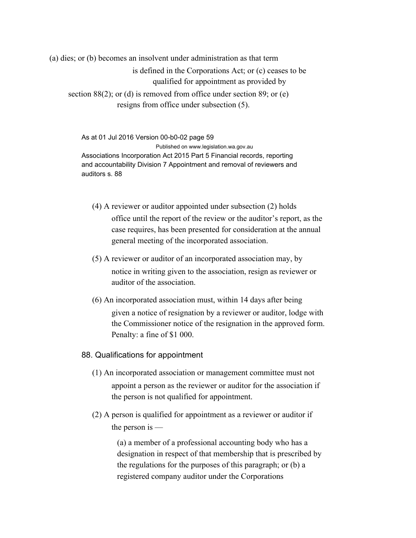(a) dies; or (b) becomes an insolvent under administration as that term is defined in the Corporations Act; or (c) ceases to be qualified for appointment as provided by section 88(2); or (d) is removed from office under section 89; or (e) resigns from office under subsection (5).

> As at 01 Jul 2016 Version 00-b0-02 page 59 Published on www.legislation.wa.gov.au Associations Incorporation Act 2015 Part 5 Financial records, reporting and accountability Division 7 Appointment and removal of reviewers and auditors s. 88

- (4) A reviewer or auditor appointed under subsection (2) holds office until the report of the review or the auditor's report, as the case requires, has been presented for consideration at the annual general meeting of the incorporated association.
- (5) A reviewer or auditor of an incorporated association may, by notice in writing given to the association, resign as reviewer or auditor of the association.
- (6) An incorporated association must, within 14 days after being given a notice of resignation by a reviewer or auditor, lodge with the Commissioner notice of the resignation in the approved form. Penalty: a fine of \$1 000.
- 88. Qualifications for appointment
	- (1) An incorporated association or management committee must not appoint a person as the reviewer or auditor for the association if the person is not qualified for appointment.
	- (2) A person is qualified for appointment as a reviewer or auditor if the person is —

(a) a member of a professional accounting body who has a designation in respect of that membership that is prescribed by the regulations for the purposes of this paragraph; or (b) a registered company auditor under the Corporations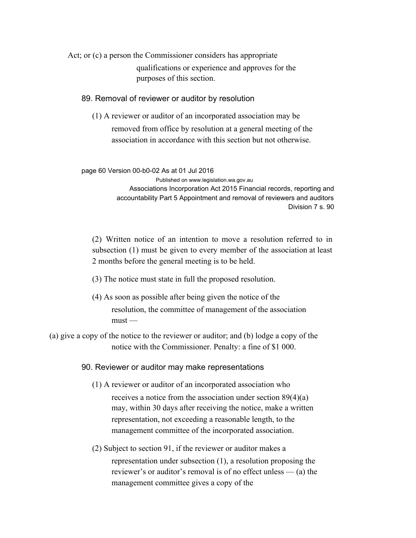Act; or (c) a person the Commissioner considers has appropriate qualifications or experience and approves for the purposes of this section.

#### 89. Removal of reviewer or auditor by resolution

(1) A reviewer or auditor of an incorporated association may be removed from office by resolution at a general meeting of the association in accordance with this section but not otherwise.

page 60 Version 00-b0-02 As at 01 Jul 2016 Published on www.legislation.wa.gov.au Associations Incorporation Act 2015 Financial records, reporting and accountability Part 5 Appointment and removal of reviewers and auditors Division 7 s. 90

(2) Written notice of an intention to move a resolution referred to in subsection (1) must be given to every member of the association at least 2 months before the general meeting is to be held.

- (3) The notice must state in full the proposed resolution.
- (4) As soon as possible after being given the notice of the resolution, the committee of management of the association  $must -$
- (a) give a copy of the notice to the reviewer or auditor; and (b) lodge a copy of the notice with the Commissioner. Penalty: a fine of \$1 000.

90. Reviewer or auditor may make representations

- (1) A reviewer or auditor of an incorporated association who receives a notice from the association under section 89(4)(a) may, within 30 days after receiving the notice, make a written representation, not exceeding a reasonable length, to the management committee of the incorporated association.
- (2) Subject to section 91, if the reviewer or auditor makes a representation under subsection (1), a resolution proposing the reviewer's or auditor's removal is of no effect unless — (a) the management committee gives a copy of the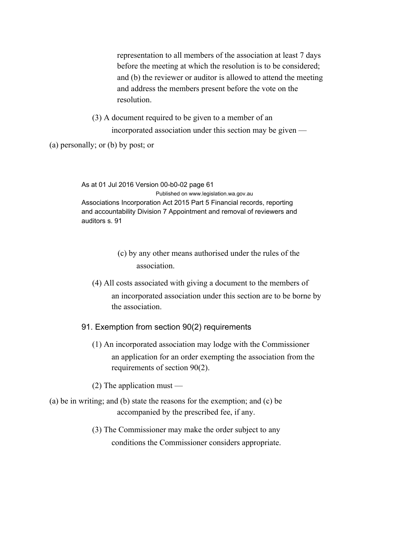representation to all members of the association at least 7 days before the meeting at which the resolution is to be considered; and (b) the reviewer or auditor is allowed to attend the meeting and address the members present before the vote on the resolution.

(3) A document required to be given to a member of an incorporated association under this section may be given —

(a) personally; or (b) by post; or

As at 01 Jul 2016 Version 00-b0-02 page 61 Published on www.legislation.wa.gov.au Associations Incorporation Act 2015 Part 5 Financial records, reporting and accountability Division 7 Appointment and removal of reviewers and auditors s. 91

> (c) by any other means authorised under the rules of the association.

- (4) All costs associated with giving a document to the members of an incorporated association under this section are to be borne by the association.
- 91. Exemption from section 90(2) requirements
	- (1) An incorporated association may lodge with the Commissioner an application for an order exempting the association from the requirements of section 90(2).
	- (2) The application must —
- (a) be in writing; and (b) state the reasons for the exemption; and (c) be accompanied by the prescribed fee, if any.
	- (3) The Commissioner may make the order subject to any conditions the Commissioner considers appropriate.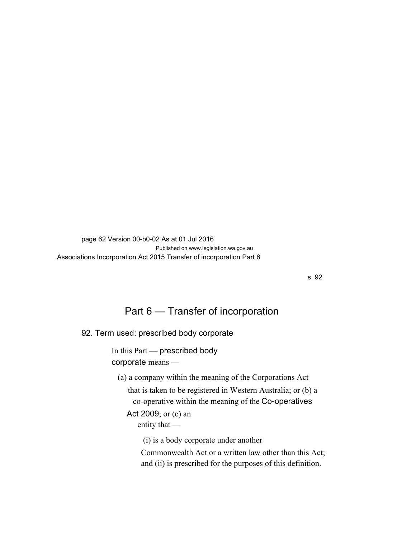page 62 Version 00-b0-02 As at 01 Jul 2016 Published on www.legislation.wa.gov.au Associations Incorporation Act 2015 Transfer of incorporation Part 6

s. 92

# Part 6 — Transfer of incorporation

92. Term used: prescribed body corporate

In this Part — prescribed body corporate means —

(a) a company within the meaning of the Corporations Act

that is taken to be registered in Western Australia; or (b) a co-operative within the meaning of the Co-operatives

Act 2009; or (c) an entity that —

(i) is a body corporate under another

Commonwealth Act or a written law other than this Act; and (ii) is prescribed for the purposes of this definition.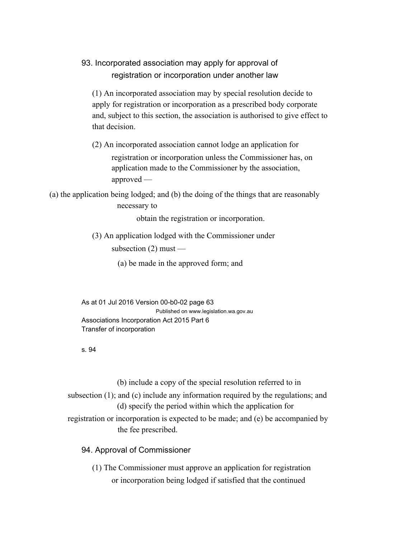## 93. Incorporated association may apply for approval of registration or incorporation under another law

(1) An incorporated association may by special resolution decide to apply for registration or incorporation as a prescribed body corporate and, subject to this section, the association is authorised to give effect to that decision.

(2) An incorporated association cannot lodge an application for registration or incorporation unless the Commissioner has, on application made to the Commissioner by the association, approved —

(a) the application being lodged; and (b) the doing of the things that are reasonably necessary to

obtain the registration or incorporation.

- (3) An application lodged with the Commissioner under subsection  $(2)$  must —
	- (a) be made in the approved form; and

As at 01 Jul 2016 Version 00-b0-02 page 63 Published on www.legislation.wa.gov.au Associations Incorporation Act 2015 Part 6 Transfer of incorporation

#### s. 94

(b) include a copy of the special resolution referred to in subsection (1); and (c) include any information required by the regulations; and (d) specify the period within which the application for registration or incorporation is expected to be made; and (e) be accompanied by the fee prescribed.

### 94. Approval of Commissioner

(1) The Commissioner must approve an application for registration or incorporation being lodged if satisfied that the continued